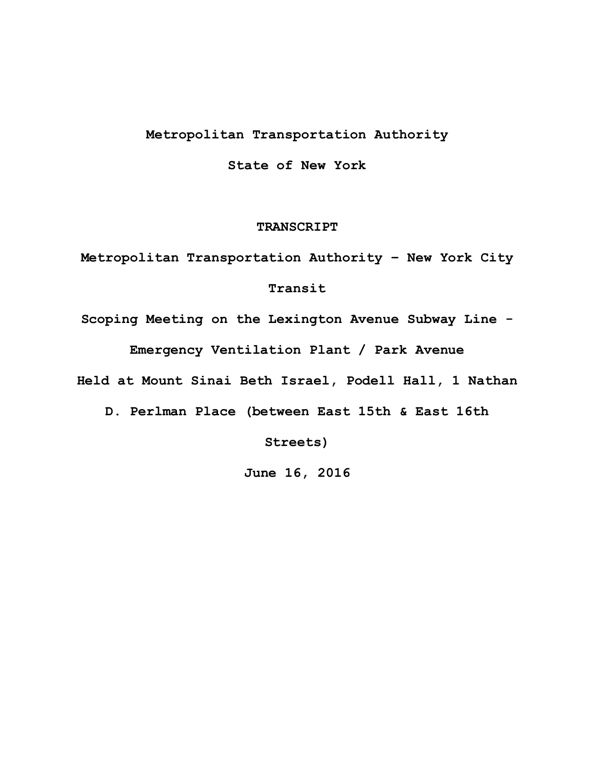# **Metropolitan!Transportation!Authority**

**State!of!New!York**

### **TRANSCRIPT**

Metropolitan Transportation Authority - New York City

## **Transit!**

Scoping Meeting on the Lexington Avenue Subway Line -Emergency Ventilation Plant / Park Avenue

Held at Mount Sinai Beth Israel, Podell Hall, 1 Nathan

D. Perlman Place (between East 15th & East 16th

**Streets)**

**June!16,!2016**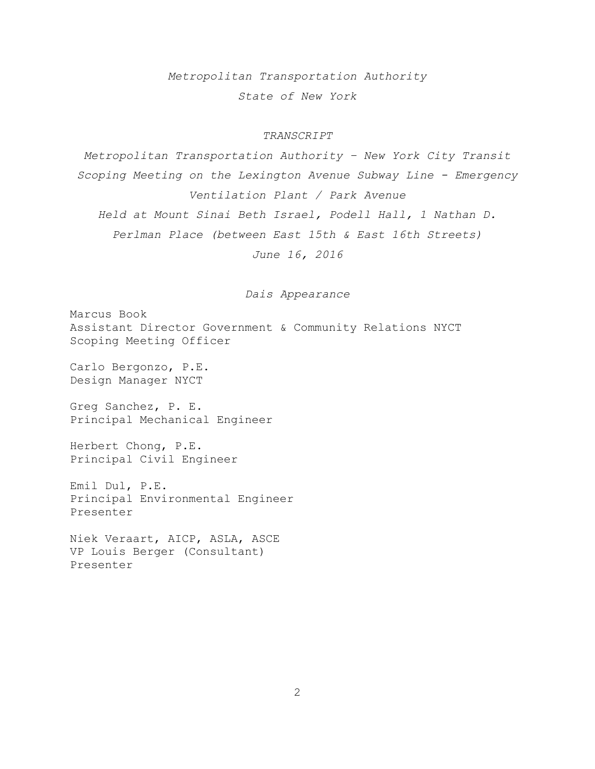*Metropolitan+Transportation+Authority State+of+New+York*

#### *TRANSCRIPT*

*Metropolitan+Transportation+Authority+± New+York+City+Transit+ Scoping+Meeting+on+the Lexington+Avenue+Subway+Line+B Emergency+ Ventilation+Plant+/+Park+Avenue Held+at+Mount+Sinai+Beth+Israel,+Podell+Hall,+1+Nathan+D.+ Perlman+Place+(between+East+15th+&+East+16th+Streets) June+16,+2016*

*Dais+Appearance*

Marcus Book Assistant Director Government & Community Relations NYCT Scoping Meeting Officer

Carlo Bergonzo, P.E. Design!Manager!NYCT

Greg Sanchez, P. E. Principal Mechanical Engineer

Herbert Chong, P.E. Principal Civil Engineer

Emil Dul, P.E. Principal Environmental Engineer Presenter!

Niek Veraart, AICP, ASLA, ASCE VP Louis Berger (Consultant) Presenter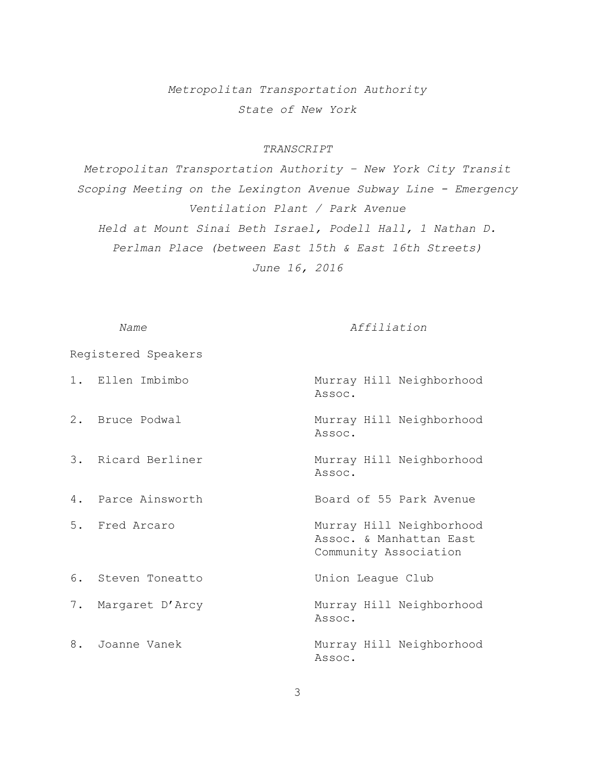*Metropolitan+Transportation+Authority State+of+New+York*

## *TRANSCRIPT*

*Metropolitan+Transportation+Authority+± New+York+City+Transit+ Scoping+Meeting+on+the+Lexington+Avenue+Subway+Line+B Emergency+ Ventilation+Plant+/+Park+Avenue Held+at+Mount+Sinai+Beth+Israel,+Podell+Hall,+1+Nathan+D.+ Perlman+Place+(between+East+15th+&+East+16th+Streets) June+16,+2016*

#### *Name*  $Affiliation$

Registered!Speakers

| 1. Ellen Imbimbo   | Murray Hill Neighborhood<br>Assoc.                                           |
|--------------------|------------------------------------------------------------------------------|
| 2. Bruce Podwal    | Murray Hill Neighborhood<br>Assoc.                                           |
| 3. Ricard Berliner | Murray Hill Neighborhood<br>Assoc.                                           |
| 4. Parce Ainsworth | Board of 55 Park Avenue                                                      |
| 5. Fred Arcaro     | Murray Hill Neighborhood<br>Assoc. & Manhattan East<br>Community Association |
| 6. Steven Toneatto | Union League Club                                                            |
| 7. Margaret D'Arcy | Murray Hill Neighborhood<br>Assoc.                                           |
| 8. Joanne Vanek    | Murray Hill Neighborhood<br>Assoc.                                           |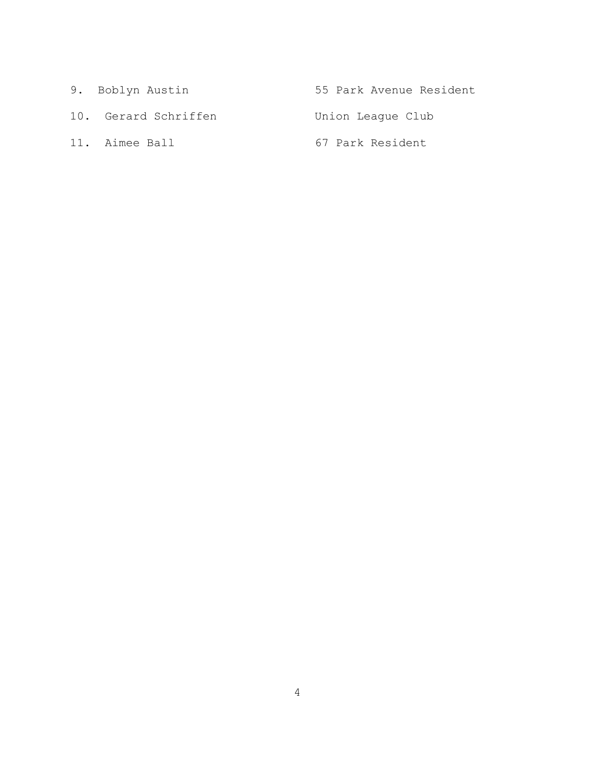| 9. Boblyn Austin     | 55 Park Avenue Resident |
|----------------------|-------------------------|
| 10. Gerard Schriffen | Union League Club       |
| 11. Aimee Ball       | 67 Park Resident        |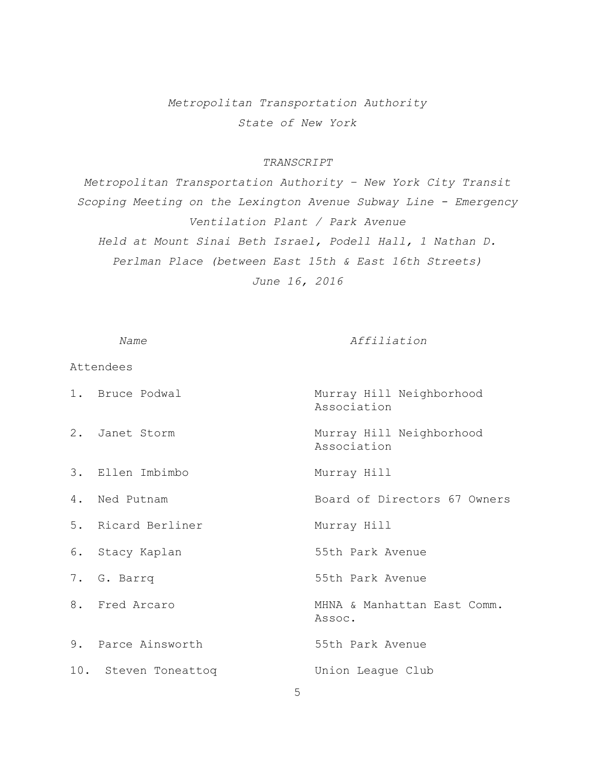# *Metropolitan+Transportation+Authority State+of+New+York*

### *TRANSCRIPT*

*Metropolitan+Transportation+Authority+± New+York+City+Transit+ Scoping+Meeting+on+the+Lexington+Avenue+Subway+Line+B Emergency+ Ventilation+Plant+/+Park+Avenue Held+at+Mount+Sinai+Beth+Israel,+Podell+Hall,+1+Nathan+D.+ Perlman+Place+(between+East+15th+&+East+16th+Streets) June+16,+2016*

*Name*  $Affiliation$ 

Attendees 1. Bruce Podwal **Murray Hill Neighborhood** Association 2. Janet Storm Murray Hill Neighborhood Association 3. Ellen Imbimbo Murray Hill 4. Ned Putnam Board of Directors 67 Owners 5. Ricard Berliner Murray Hill 6. Stacy Kaplan 55th Park Avenue 7. G. Barrq 55th Park Avenue 8. Fred Arcaro The MHNA & Manhattan East Comm. Assoc. 9. Parce Ainsworth 55th Park Avenue 10. Steven Toneattoq Mondon League Club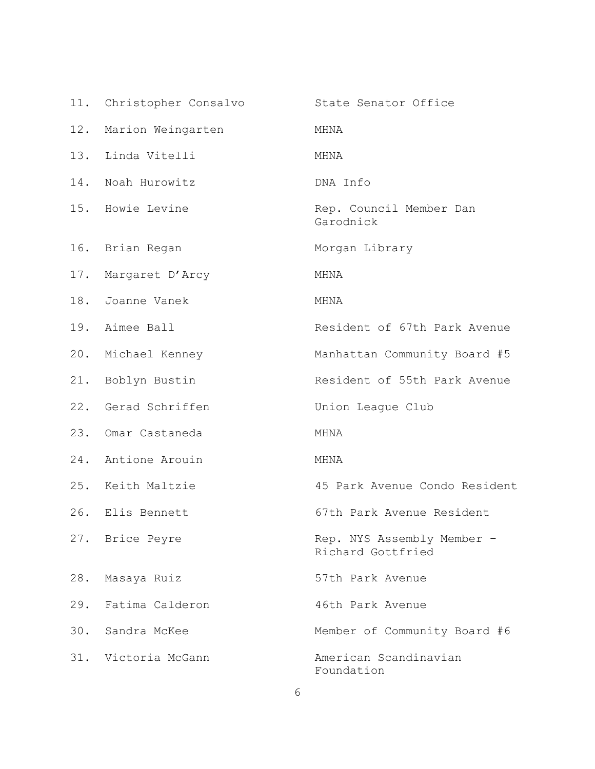|     | 11. Christopher Consalvo | State Senator Office                            |
|-----|--------------------------|-------------------------------------------------|
| 12. | Marion Weingarten        | MHNA                                            |
|     | 13. Linda Vitelli        | MHNA                                            |
|     | 14. Noah Hurowitz        | DNA Info                                        |
|     | 15. Howie Levine         | Rep. Council Member Dan<br>Garodnick            |
|     | 16. Brian Regan          | Morgan Library                                  |
|     | 17. Margaret D'Arcy      | MHNA                                            |
|     | 18. Joanne Vanek         | MHNA                                            |
|     | 19. Aimee Ball           | Resident of 67th Park Avenue                    |
|     | 20. Michael Kenney       | Manhattan Community Board #5                    |
|     | 21. Boblyn Bustin        | Resident of 55th Park Avenue                    |
|     | 22. Gerad Schriffen      | Union League Club                               |
|     | 23. Omar Castaneda       | MHNA                                            |
|     | 24. Antione Arouin       | MHNA                                            |
|     | 25. Keith Maltzie        | 45 Park Avenue Condo Resident                   |
|     | 26. Elis Bennett         | 67th Park Avenue Resident                       |
|     | 27. Brice Peyre          | Rep. NYS Assembly Member -<br>Richard Gottfried |
| 28. | Masaya Ruiz              | 57th Park Avenue                                |
| 29. | Fatima Calderon          | 46th Park Avenue                                |
|     | 30. Sandra McKee         | Member of Community Board #6                    |
|     | 31. Victoria McGann      | American Scandinavian<br>Foundation             |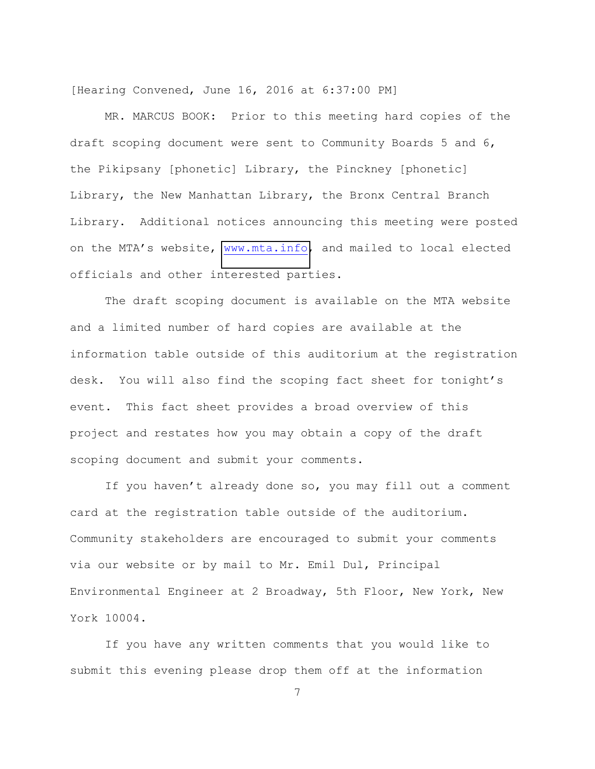[Hearing Convened, June 16, 2016 at 6:37:00 PM]

MR. MARCUS BOOK: Prior to this meeting hard copies of the draft scoping document were sent to Community Boards 5 and 6, the Pikipsany [phonetic] Library, the Pinckney [phonetic] Library, the New Manhattan Library, the Bronx Central Branch Library. Additional notices announcing this meeting were posted on the MTA's website, www.mta.info, and mailed to local elected officials and other interested parties.

The draft scoping document is available on the MTA website and a limited number of hard copies are available at the information table outside of this auditorium at the registration desk. You will also find the scoping fact sheet for tonight's event. This fact sheet provides a broad overview of this project and restates how you may obtain a copy of the draft scoping document and submit your comments.

If you haven't already done so, you may fill out a comment card at the registration table outside of the auditorium. Community stakeholders are encouraged to submit your comments via our website or by mail to Mr. Emil Dul, Principal Environmental Engineer at 2 Broadway, 5th Floor, New York, New York 10004.

If you have any written comments that you would like to submit this evening please drop them off at the information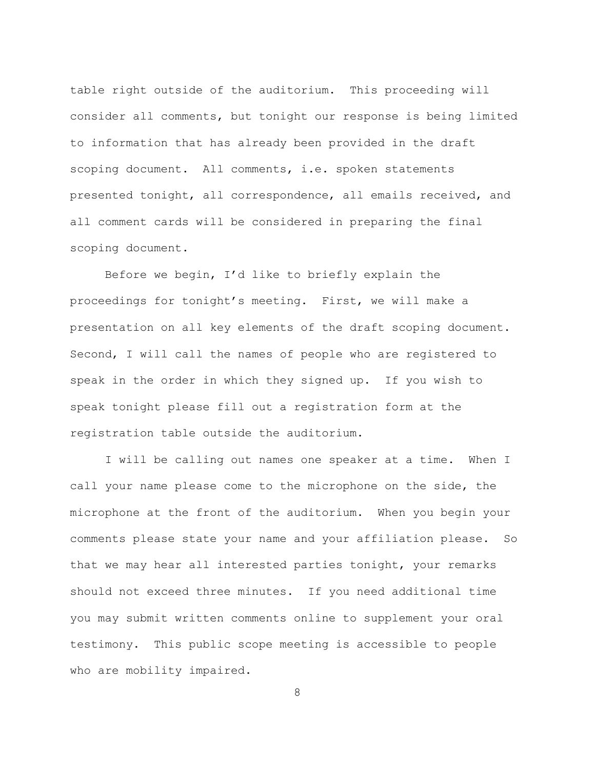table right outside of the auditorium. This proceeding will consider all comments, but tonight our response is being limited to information that has already been provided in the draft scoping document. All comments, i.e. spoken statements presented tonight, all correspondence, all emails received, and all comment cards will be considered in preparing the final scoping document.

Before we begin, I'd like to briefly explain the proceedings for tonight's meeting. First, we will make a presentation on all key elements of the draft scoping document. Second, I will call the names of people who are registered to speak in the order in which they signed up. If you wish to speak tonight please fill out a registration form at the registration table outside the auditorium.

I will be calling out names one speaker at a time. When I call your name please come to the microphone on the side, the microphone at the front of the auditorium. When you begin your comments please state your name and your affiliation please. So that we may hear all interested parties tonight, your remarks should not exceed three minutes. If you need additional time you may submit written comments online to supplement your oral testimony. This public scope meeting is accessible to people who are mobility impaired.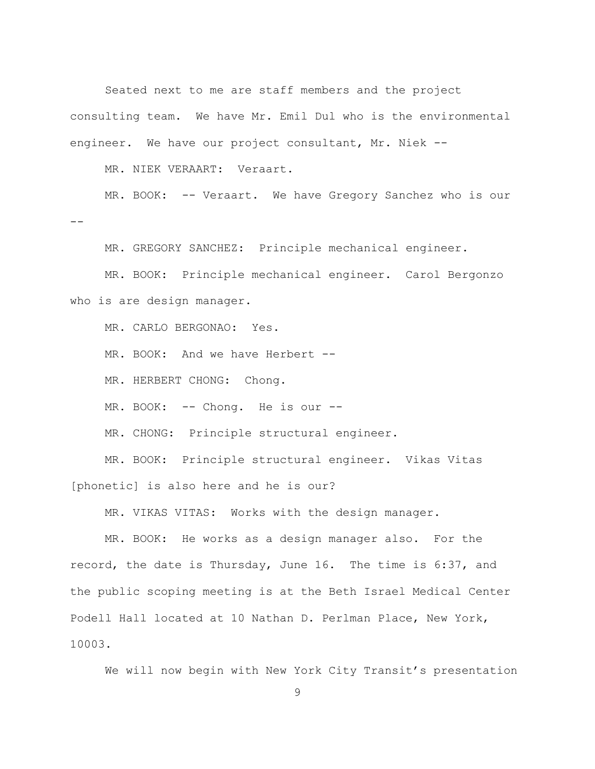Seated next to me are staff members and the project consulting team. We have Mr. Emil Dul who is the environmental engineer. We have our project consultant, Mr. Niek --

MR. NIEK VERAART: Veraart.

MR. BOOK: -- Veraart. We have Gregory Sanchez who is our  $\equiv$   $\equiv$ 

MR. GREGORY SANCHEZ: Principle mechanical engineer.

MR. BOOK: Principle mechanical engineer. Carol Bergonzo who is are design manager.

MR. CARLO BERGONAO: Yes.

MR. BOOK: And we have Herbert --

MR. HERBERT CHONG: Chong.

MR. BOOK: -- Chong. He is our --

MR. CHONG: Principle structural engineer.

MR. BOOK: Principle structural engineer. Vikas Vitas [phonetic] is also here and he is our?

MR. VIKAS VITAS: Works with the design manager.

MR. BOOK: He works as a design manager also. For the record, the date is Thursday, June 16. The time is  $6:37$ , and the public scoping meeting is at the Beth Israel Medical Center Podell Hall located at 10 Nathan D. Perlman Place, New York, 10003.

We will now begin with New York City Transit's presentation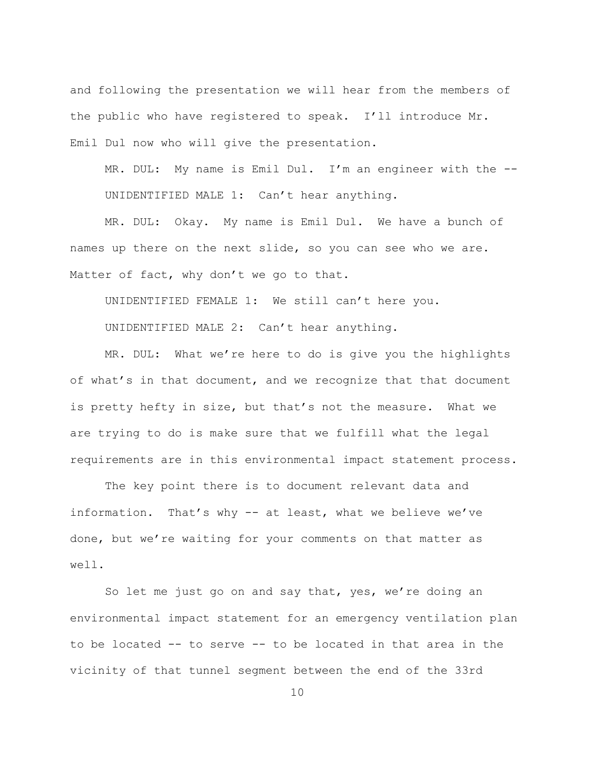and following the presentation we will hear from the members of the public who have registered to speak. I'll introduce Mr. Emil Dul now who will give the presentation.

MR. DUL: My name is Emil Dul. I'm an engineer with the  $-$ -UNIDENTIFIED MALE  $1:$  Can't hear anything.

MR. DUL: Okay. My name is Emil Dul. We have a bunch of names up there on the next slide, so you can see who we are. Matter of fact, why don't we go to that.

UNIDENTIFIED FEMALE 1: We still can't here you.

UNIDENTIFIED MALE 2: Can't hear anything.

MR. DUL: What we're here to do is give you the highlights of what's in that document, and we recognize that that document is pretty hefty in size, but that's not the measure. What we are trying to do is make sure that we fulfill what the legal requirements are in this environmental impact statement process.

The key point there is to document relevant data and information. That's why -- at least, what we believe we've done, but we're waiting for your comments on that matter as well.

So let me just go on and say that, yes, we're doing an environmental impact statement for an emergency ventilation plan to be located  $-$  to serve  $-$ - to be located in that area in the vicinity of that tunnel segment between the end of the 33rd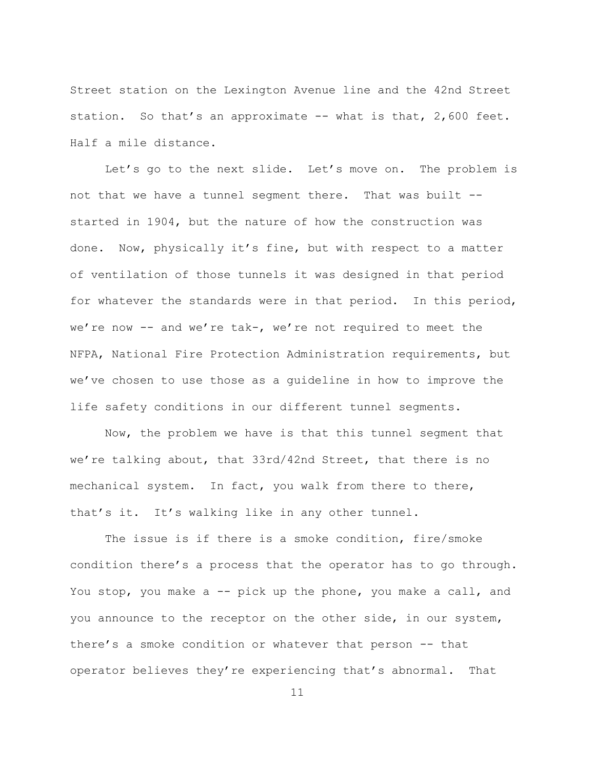Street station on the Lexington Avenue line and the 42nd Street station. So that's an approximate  $--$  what is that, 2,600 feet. Half a mile distance.

Let's go to the next slide. Let's move on. The problem is not that we have a tunnel segment there. That was built -started in 1904, but the nature of how the construction was done. Now, physically it's fine, but with respect to a matter of ventilation of those tunnels it was designed in that period for whatever the standards were in that period. In this period, we're now -- and we're tak-, we're not required to meet the NFPA, National Fire Protection Administration requirements, but we've chosen to use those as a quideline in how to improve the life safety conditions in our different tunnel segments.

Now, the problem we have is that this tunnel segment that we're talking about, that 33rd/42nd Street, that there is no mechanical system. In fact, you walk from there to there, that's it. It's walking like in any other tunnel.

The issue is if there is a smoke condition, fire/smoke condition there's a process that the operator has to go through. You stop, you make a  $-$  pick up the phone, you make a call, and you announce to the receptor on the other side, in our system, there's a smoke condition or whatever that person -- that operator believes they're experiencing that's abnormal. That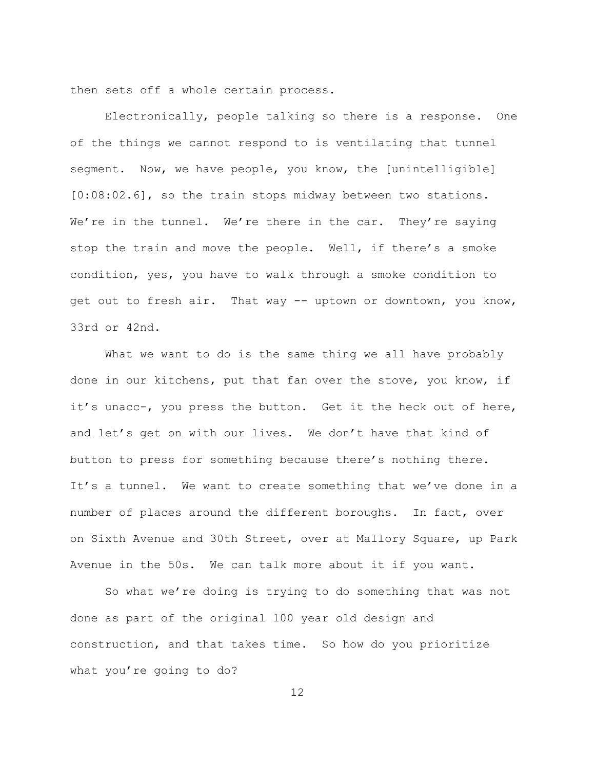then sets off a whole certain process.

Electronically, people talking so there is a response. One of the things we cannot respond to is ventilating that tunnel segment. Now, we have people, you know, the [unintelligible]  $[0:08:02.6]$ , so the train stops midway between two stations. We're in the tunnel. We're there in the car. They're saying stop the train and move the people. Well, if there's a smoke condition, yes, you have to walk through a smoke condition to get out to fresh air. That way -- uptown or downtown, you know, 33rd or 42nd.

What we want to do is the same thing we all have probably done in our kitchens, put that fan over the stove, you know, if it's unacc-, you press the button. Get it the heck out of here, and let's get on with our lives. We don't have that kind of button to press for something because there's nothing there. It's a tunnel. We want to create something that we've done in a number of places around the different boroughs. In fact, over on Sixth Avenue and 30th Street, over at Mallory Square, up Park Avenue in the 50s. We can talk more about it if you want.

So what we're doing is trying to do something that was not done as part of the original 100 year old design and construction, and that takes time. So how do you prioritize what you're going to  $do?$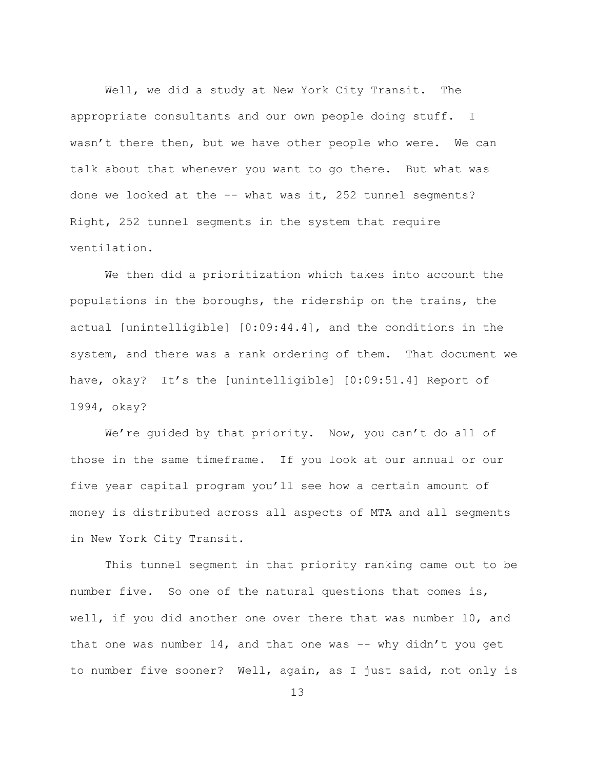Well, we did a study at New York City Transit. The appropriate consultants and our own people doing stuff. I wasn't there then, but we have other people who were. We can talk about that whenever you want to go there. But what was done we looked at the  $--$  what was it, 252 tunnel segments? Right, 252 tunnel segments in the system that require ventilation.

We then did a prioritization which takes into account the populations in the boroughs, the ridership on the trains, the actual [unintelligible]  $[0:09:44.4]$ , and the conditions in the system, and there was a rank ordering of them. That document we have, okay? It's the [unintelligible]  $[0:09:51.4]$  Report of 1994, okay?

We're quided by that priority. Now, you can't do all of those in the same timeframe. If you look at our annual or our five year capital program you'll see how a certain amount of money is distributed across all aspects of MTA and all segments in New York City Transit.

This tunnel segment in that priority ranking came out to be number five. So one of the natural questions that comes is, well, if you did another one over there that was number 10, and that one was number 14, and that one was  $-$  why didn't you get to number five sooner? Well, again, as I just said, not only is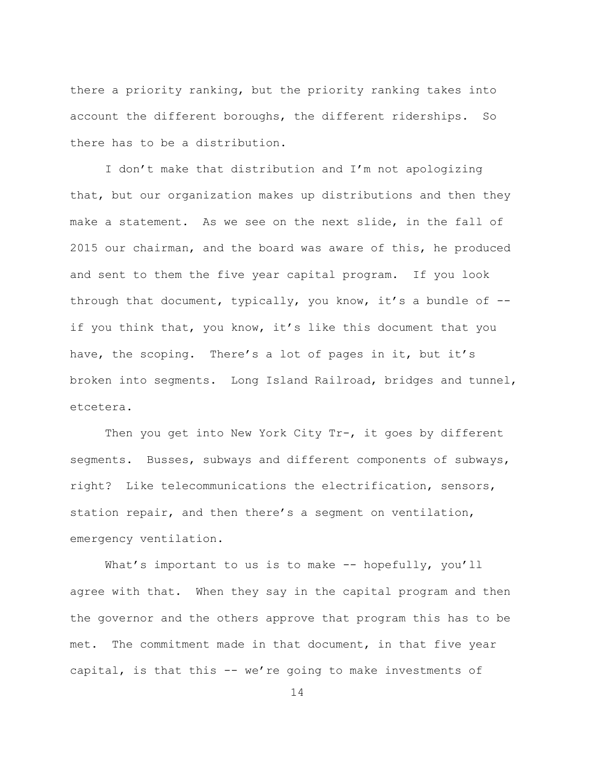there a priority ranking, but the priority ranking takes into account the different boroughs, the different riderships. So there has to be a distribution.

I don't make that distribution and I'm not apologizing that, but our organization makes up distributions and then they make a statement. As we see on the next slide, in the fall of 2015 our chairman, and the board was aware of this, he produced and sent to them the five year capital program. If you look through that document, typically, you know, it's a bundle of  $-$ if you think that, you know, it's like this document that you have, the scoping. There's a lot of pages in it, but it's broken into segments. Long Island Railroad, bridges and tunnel, etcetera.

Then you get into New York City Tr-, it goes by different segments. Busses, subways and different components of subways, right? Like telecommunications the electrification, sensors, station repair, and then there's a seqment on ventilation, emergency ventilation.

What's important to us is to make  $-$ - hopefully, you'll agree with that. When they say in the capital program and then the governor and the others approve that program this has to be met. The commitment made in that document, in that five year capital, is that this  $-$  we're going to make investments of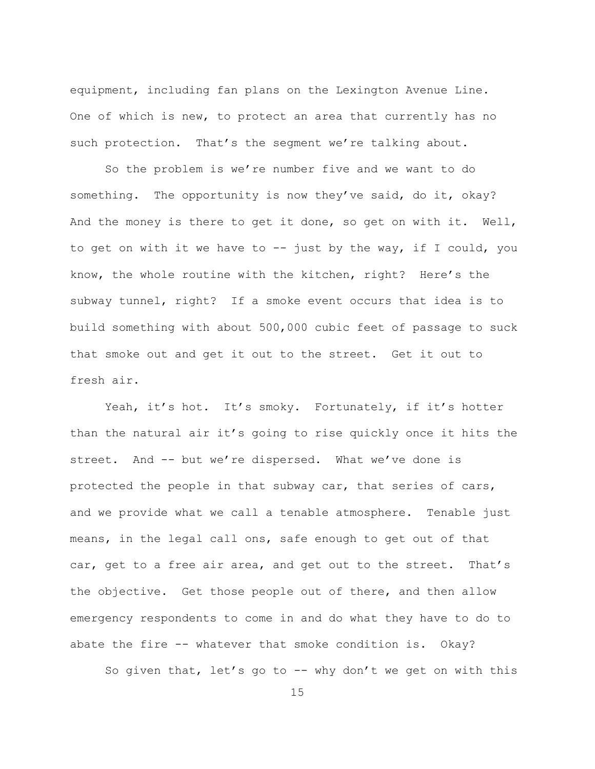equipment, including fan plans on the Lexington Avenue Line. One of which is new, to protect an area that currently has no such protection. That's the seqment we're talking about.

So the problem is we're number five and we want to do something. The opportunity is now they've said, do it, okay? And the money is there to get it done, so get on with it. Well, to get on with it we have to  $-$  just by the way, if I could, you know, the whole routine with the kitchen, right? Here's the subway tunnel, right? If a smoke event occurs that idea is to build something with about 500,000 cubic feet of passage to suck that smoke out and get it out to the street. Get it out to fresh air.

Yeah, it's hot. It's smoky. Fortunately, if it's hotter than the natural air it's going to rise quickly once it hits the street. And -- but we're dispersed. What we've done is protected the people in that subway car, that series of cars, and we provide what we call a tenable atmosphere. Tenable just means, in the legal call ons, safe enough to get out of that car, get to a free air area, and get out to the street. That's the objective. Get those people out of there, and then allow emergency respondents to come in and do what they have to do to abate the fire  $--$  whatever that smoke condition is. Okay?

So given that, let's go to  $-$  why don't we get on with this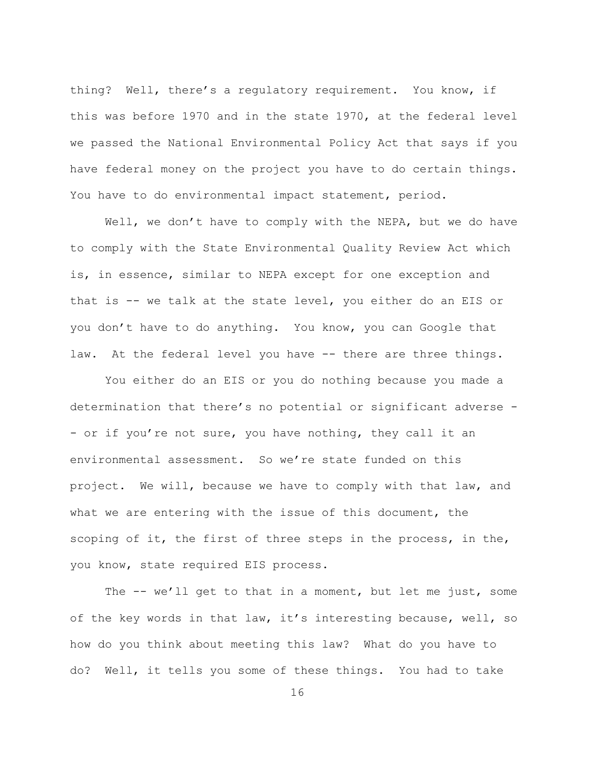thing? Well, there's a regulatory requirement. You know, if this was before 1970 and in the state 1970, at the federal level we passed the National Environmental Policy Act that says if you have federal money on the project you have to do certain things. You have to do environmental impact statement, period.

Well, we don't have to comply with the NEPA, but we do have to comply with the State Environmental Quality Review Act which is, in essence, similar to NEPA except for one exception and that is  $-$  we talk at the state level, you either do an EIS or you don't have to do anything. You know, you can Google that law. At the federal level you have -- there are three things.

You either do an EIS or you do nothing because you made a determination that there's no potential or significant adverse -- or if you're not sure, you have nothing, they call it an environmental assessment. So we're state funded on this project. We will, because we have to comply with that law, and what we are entering with the issue of this document, the scoping of it, the first of three steps in the process, in the, you know, state required EIS process.

The  $-$  we'll get to that in a moment, but let me just, some of the key words in that law, it's interesting because, well, so how do you think about meeting this law? What do you have to do? Well, it tells you some of these things. You had to take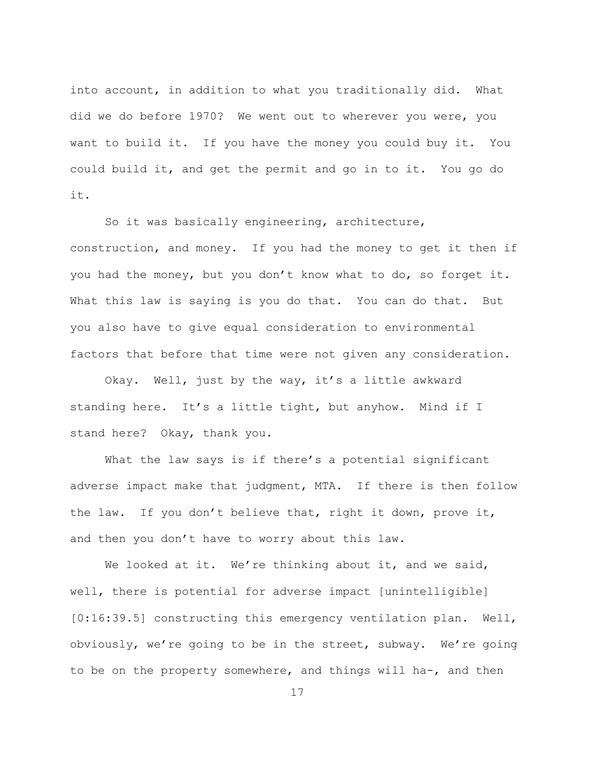into account, in addition to what you traditionally did. What did we do before 1970? We went out to wherever you were, you want to build it. If you have the money you could buy it. You could build it, and get the permit and go in to it. You go do it.

So it was basically engineering, architecture, construction, and money. If you had the money to get it then if you had the money, but you don't know what to do, so forget it. What this law is saying is you do that. You can do that. But you also have to give equal consideration to environmental factors that before that time were not given any consideration.

Okay. Well, just by the way, it's a little awkward standing here. It's a little tight, but anyhow. Mind if I stand here? Okay, thank you.

What the law says is if there's a potential significant adverse impact make that judgment, MTA. If there is then follow the law. If you don't believe that, right it down, prove it, and then you don't have to worry about this law.

We looked at it. We're thinking about it, and we said, well, there is potential for adverse impact [unintelligible]  $[0:16:39.5]$  constructing this emergency ventilation plan. Well, obviously, we're going to be in the street, subway. We're going to be on the property somewhere, and things will ha-, and then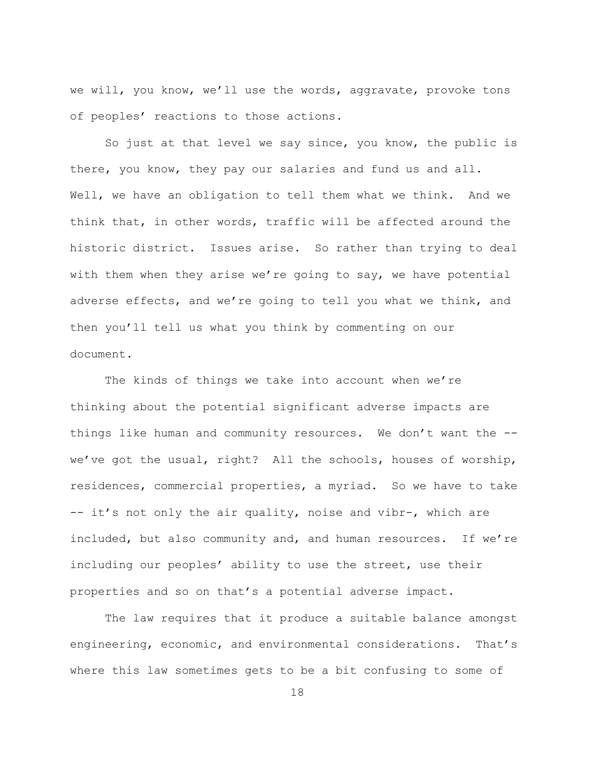we will, you know, we'll use the words, aggravate, provoke tons of peoples' reactions to those actions.

So just at that level we say since, you know, the public is there, you know, they pay our salaries and fund us and all. Well, we have an obligation to tell them what we think. And we think that, in other words, traffic will be affected around the historic district. Issues arise. So rather than trying to deal with them when they arise we're going to say, we have potential adverse effects, and we're going to tell you what we think, and then you'll tell us what you think by commenting on our document.

The kinds of things we take into account when we're thinking about the potential significant adverse impacts are things like human and community resources. We don't want the -we've got the usual, right? All the schools, houses of worship, residences, commercial properties, a myriad. So we have to take -- it's not only the air quality, noise and vibr-, which are included, but also community and, and human resources. If we're including our peoples' ability to use the street, use their properties and so on that's a potential adverse impact.

The law requires that it produce a suitable balance amongst engineering, economic, and environmental considerations. That's where this law sometimes gets to be a bit confusing to some of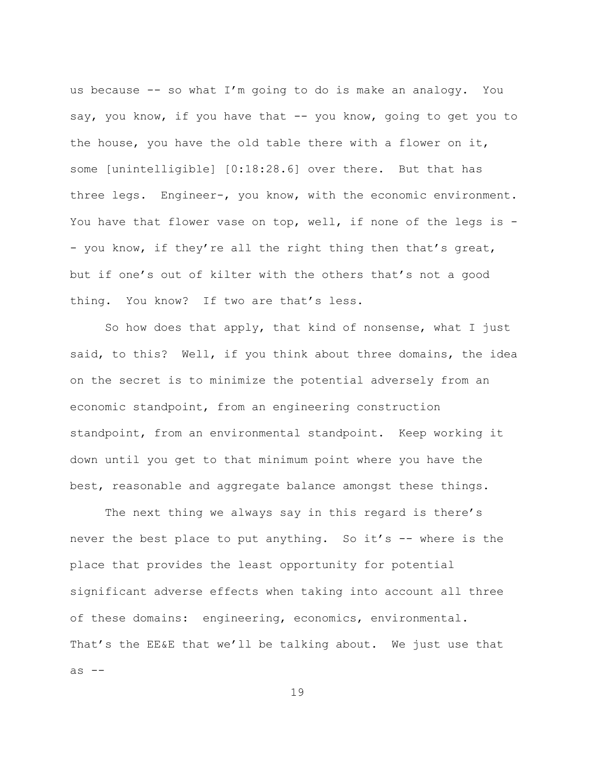us because  $-$  so what I'm going to do is make an analogy. You say, you know, if you have that -- you know, going to get you to the house, you have the old table there with a flower on it, some [unintelligible] [0:18:28.6] over there. But that has three legs. Engineer-, you know, with the economic environment. You have that flower vase on top, well, if none of the legs is  $-$ - you know, if they're all the right thing then that's great, but if one's out of kilter with the others that's not a good thing. You know? If two are that's less.

So how does that apply, that kind of nonsense, what I just said, to this? Well, if you think about three domains, the idea on the secret is to minimize the potential adversely from an economic standpoint, from an engineering construction standpoint, from an environmental standpoint. Keep working it down until you get to that minimum point where you have the best, reasonable and aggregate balance amongst these things.

The next thing we always say in this regard is there's never the best place to put anything. So it's -- where is the place that provides the least opportunity for potential significant adverse effects when taking into account all three of these domains: engineering, economics, environmental. That's the EE&E that we'll be talking about. We just use that as  $--$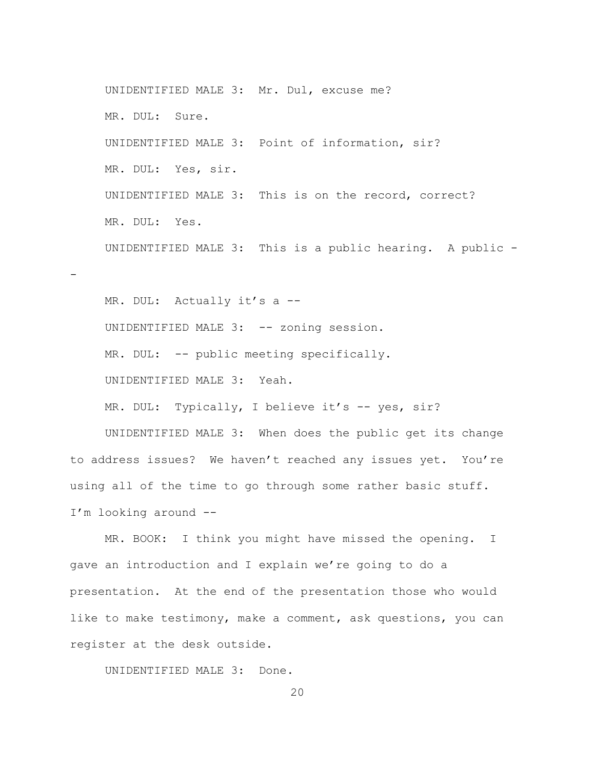UNIDENTIFIED MALE 3: Mr. Dul, excuse me? MR. DUL: Sure. UNIDENTIFIED MALE 3: Point of information, sir? MR. DUL: Yes, sir. UNIDENTIFIED MALE 3: This is on the record, correct? MR. DUL: Yes. UNIDENTIFIED MALE 3: This is a public hearing. A public  $-$ MR. DUL: Actually it's a --

UNIDENTIFIED MALE 3: -- zoning session.  $MR. DUL: -- public meeting specifying.$ UNIDENTIFIED MALE 3: Yeah.

f

MR. DUL: Typically, I believe it's -- yes, sir?

UNIDENTIFIED MALE 3: When does the public get its change to address issues? We haven't reached any issues yet. You're using all of the time to go through some rather basic stuff. I'm looking around --

MR. BOOK: I think you might have missed the opening. I gave an introduction and I explain we're going to do a presentation. At the end of the presentation those who would like to make testimony, make a comment, ask questions, you can register at the desk outside.

UNIDENTIFIED MALE 3: Done.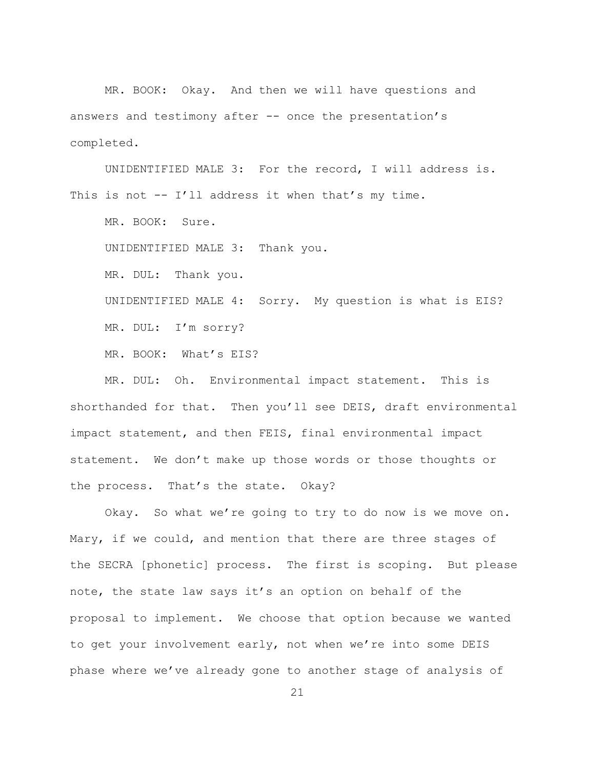MR. BOOK: Okay. And then we will have questions and answers and testimony after  $-$  once the presentation's completed.

UNIDENTIFIED MALE 3: For the record, I will address is. This is not  $-$  I'll address it when that's my time.

MR. BOOK: Sure.

UNIDENTIFIED MALE 3: Thank you.

MR. DUL: Thank you.

UNIDENTIFIED MALE 4: Sorry. My question is what is EIS? MR. DUL: I'm sorry?

MR. BOOK: What's EIS?

MR. DUL: Oh. Environmental impact statement. This is shorthanded for that. Then you'll see DEIS, draft environmental impact statement, and then FEIS, final environmental impact statement. We don't make up those words or those thoughts or the process. That's the state. Okay?

Okay. So what we're going to try to do now is we move on. Mary, if we could, and mention that there are three stages of the SECRA [phonetic] process. The first is scoping. But please note, the state law says it's an option on behalf of the proposal to implement. We choose that option because we wanted to get your involvement early, not when we're into some DEIS phase where we've already gone to another stage of analysis of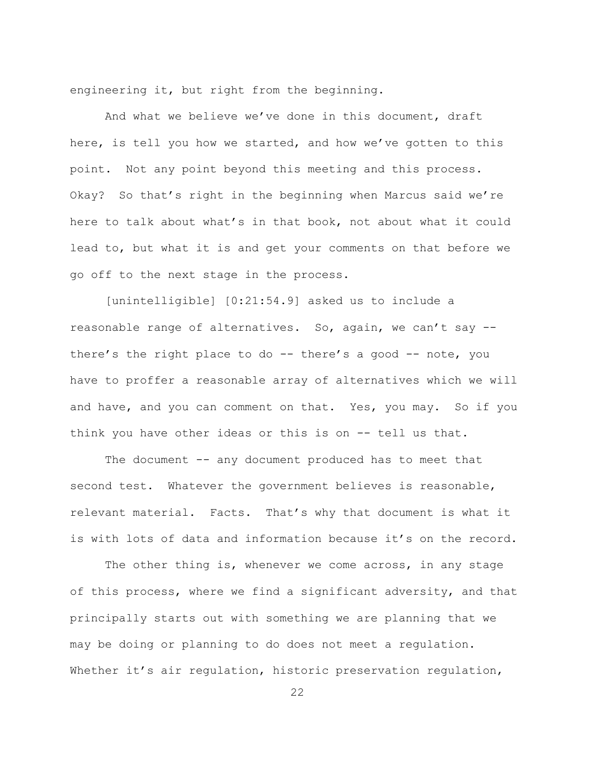engineering it, but right from the beginning.

And what we believe we've done in this document, draft here, is tell you how we started, and how we've gotten to this point. Not any point beyond this meeting and this process. Okay? So that's right in the beginning when Marcus said we're here to talk about what's in that book, not about what it could lead to, but what it is and get your comments on that before we go off to the next stage in the process.

 $[unintelligible]$   $[0:21:54.9]$  asked us to include a reasonable range of alternatives. So, again, we can't say  $$ there's the right place to do -- there's a good -- note, you have to proffer a reasonable array of alternatives which we will and have, and you can comment on that. Yes, you may. So if you think you have other ideas or this is on -- tell us that.

The document -- any document produced has to meet that second test. Whatever the government believes is reasonable, relevant material. Facts. That's why that document is what it is with lots of data and information because it's on the record.

The other thing is, whenever we come across, in any stage of this process, where we find a significant adversity, and that principally starts out with something we are planning that we may be doing or planning to do does not meet a regulation. Whether it's air regulation, historic preservation regulation,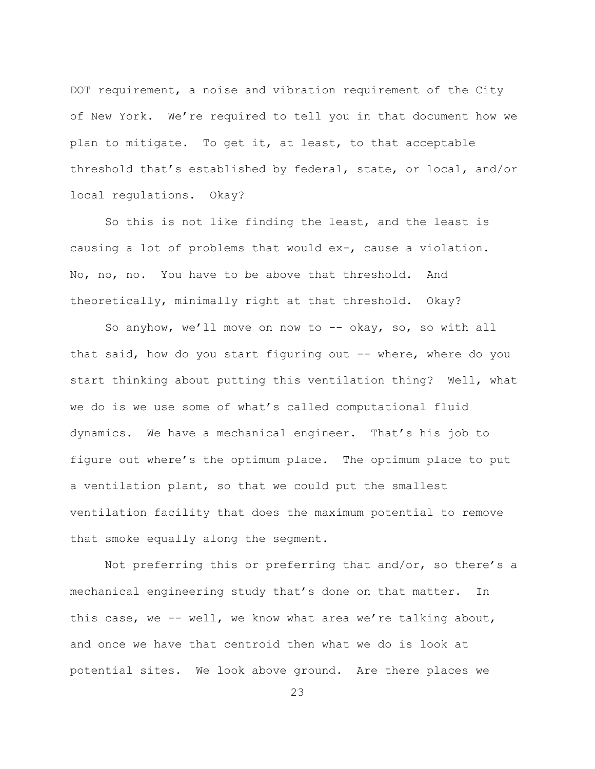DOT requirement, a noise and vibration requirement of the City of New York. We're required to tell you in that document how we plan to mitigate. To get it, at least, to that acceptable threshold that's established by federal, state, or local, and/or local requlations. Okay?

So this is not like finding the least, and the least is causing a lot of problems that would ex-, cause a violation. No, no, no. You have to be above that threshold. And theoretically, minimally right at that threshold. Okay?

So anyhow, we'll move on now to -- okay, so, so with all that said, how do you start figuring out -- where, where do you start thinking about putting this ventilation thing? Well, what we do is we use some of what's called computational fluid dynamics. We have a mechanical engineer. That's his job to figure out where's the optimum place. The optimum place to put a ventilation plant, so that we could put the smallest ventilation facility that does the maximum potential to remove that smoke equally along the segment.

Not preferring this or preferring that and/or, so there's a mechanical engineering study that's done on that matter. In this case, we -- well, we know what area we're talking about, and once we have that centroid then what we do is look at potential sites. We look above ground. Are there places we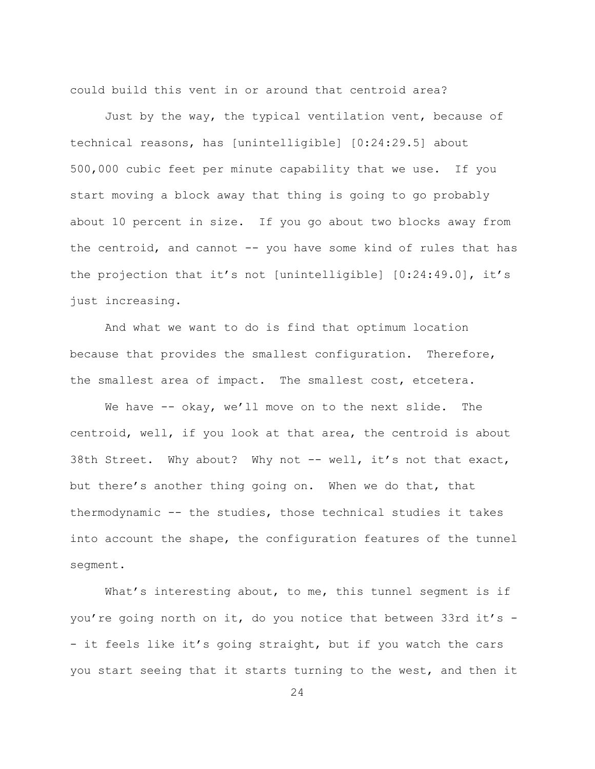could build this vent in or around that centroid area?

Just by the way, the typical ventilation vent, because of technical reasons, has [unintelligible] [0:24:29.5] about  $500,000$  cubic feet per minute capability that we use. If you start moving a block away that thing is going to go probably about 10 percent in size. If you go about two blocks away from the centroid, and cannot  $-$  you have some kind of rules that has the projection that it's not [unintelligible]  $[0:24:49.0]$ , it's just increasing.

And what we want to do is find that optimum location because that provides the smallest configuration. Therefore, the smallest area of impact. The smallest cost, etcetera.

We have  $-$ - okay, we'll move on to the next slide. The centroid, well, if you look at that area, the centroid is about 38th Street. Why about? Why not -- well, it's not that exact, but there's another thing going on. When we do that, that thermodynamic  $-$  the studies, those technical studies it takes into account the shape, the configuration features of the tunnel segment.

What's interesting about, to me, this tunnel segment is if you're going north on it, do you notice that between 33rd it's  $-$ - it feels like it's going straight, but if you watch the cars you start seeing that it starts turning to the west, and then it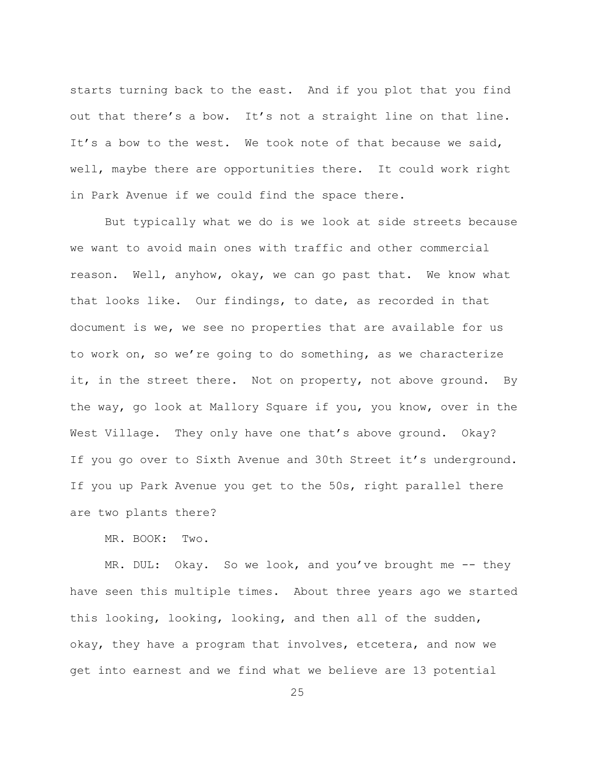starts turning back to the east. And if you plot that you find out that there's a bow. It's not a straight line on that line. It's a bow to the west. We took note of that because we said, well, maybe there are opportunities there. It could work right in Park Avenue if we could find the space there.

But typically what we do is we look at side streets because we want to avoid main ones with traffic and other commercial reason. Well, anyhow, okay, we can go past that. We know what that looks like. Our findings, to date, as recorded in that document is we, we see no properties that are available for us to work on, so we're going to do something, as we characterize it, in the street there. Not on property, not above ground. By the way, go look at Mallory Square if you, you know, over in the West Village. They only have one that's above ground. Okay? If you go over to Sixth Avenue and 30th Street it's underground. If you up Park Avenue you get to the 50s, right parallel there are two plants there?

MR. BOOK: Two.

MR. DUL: Okay. So we look, and you've brought me -- they have seen this multiple times. About three years ago we started this looking, looking, looking, and then all of the sudden, okay, they have a program that involves, etcetera, and now we get into earnest and we find what we believe are 13 potential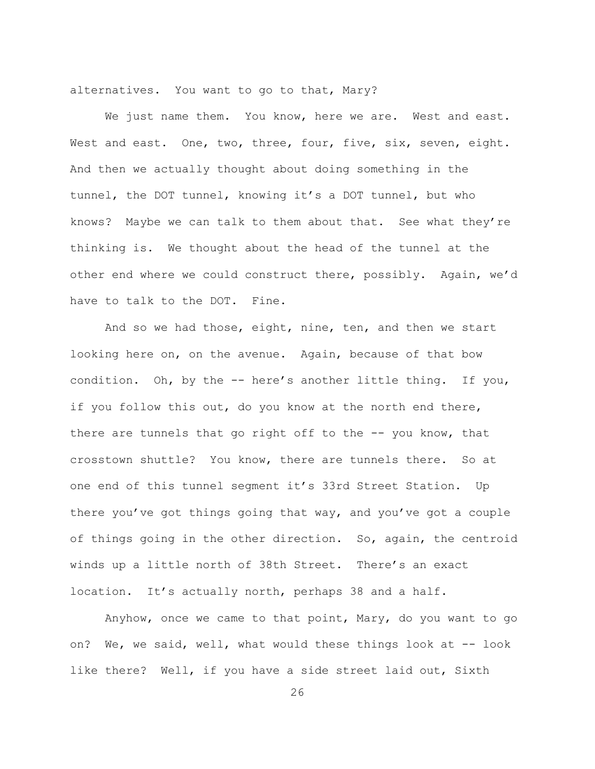alternatives. You want to go to that, Mary?

We just name them. You know, here we are. West and east. West and east. One, two, three, four, five, six, seven, eight. And then we actually thought about doing something in the tunnel, the DOT tunnel, knowing it's a DOT tunnel, but who knows? Maybe we can talk to them about that. See what they're thinking is. We thought about the head of the tunnel at the other end where we could construct there, possibly. Again, we'd have to talk to the DOT. Fine.

And so we had those, eight, nine, ten, and then we start looking here on, on the avenue. Again, because of that bow condition. Oh, by the -- here's another little thing. If you, if you follow this out, do you know at the north end there, there are tunnels that go right off to the  $-$ - you know, that crosstown shuttle? You know, there are tunnels there. So at one end of this tunnel segment it's 33rd Street Station. Up there you've got things going that way, and you've got a couple of things going in the other direction. So, again, the centroid winds up a little north of 38th Street. There's an exact location. It's actually north, perhaps 38 and a half.

Anyhow, once we came to that point, Mary, do you want to go on? We, we said, well, what would these things look at  $-$  look like there? Well, if you have a side street laid out, Sixth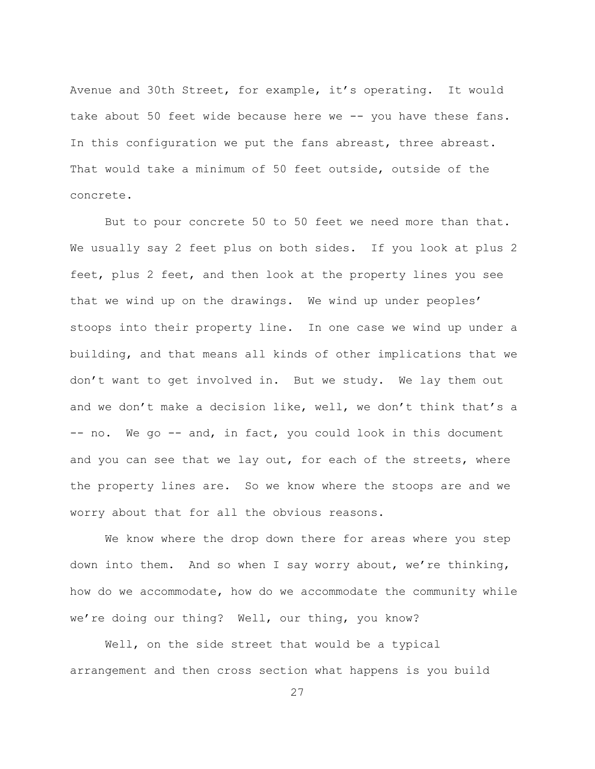Avenue and 30th Street, for example, it's operating. It would take about 50 feet wide because here we -- you have these fans. In this configuration we put the fans abreast, three abreast. That would take a minimum of 50 feet outside, outside of the concrete.

But to pour concrete 50 to 50 feet we need more than that. We usually say 2 feet plus on both sides. If you look at plus 2 feet, plus 2 feet, and then look at the property lines you see that we wind up on the drawings. We wind up under peoples' stoops into their property line. In one case we wind up under a building, and that means all kinds of other implications that we don't want to get involved in. But we study. We lay them out and we don't make a decision like, well, we don't think that's a -- no. We go -- and, in fact, you could look in this document and you can see that we lay out, for each of the streets, where the property lines are. So we know where the stoops are and we worry about that for all the obvious reasons.

We know where the drop down there for areas where you step down into them. And so when I say worry about, we're thinking, how do we accommodate, how do we accommodate the community while we're doing our thing? Well, our thing, you know?

Well, on the side street that would be a typical arrangement and then cross section what happens is you build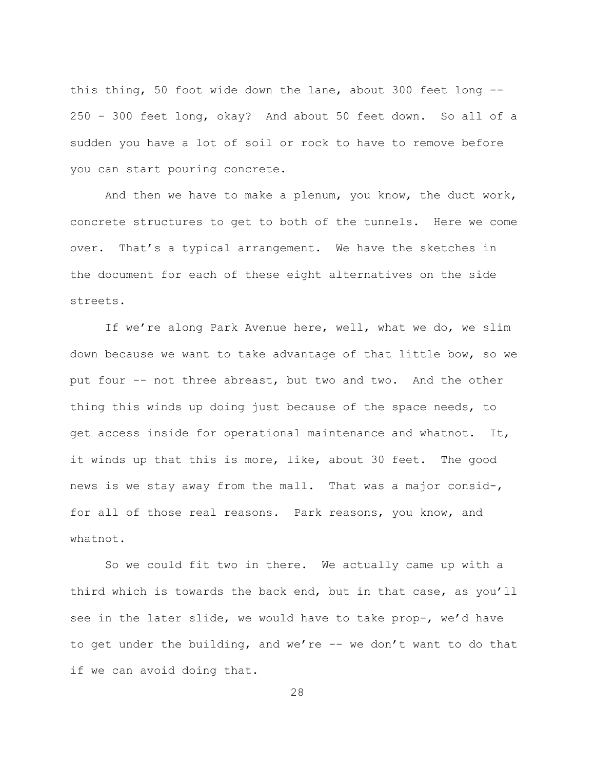this thing, 50 foot wide down the lane, about 300 feet long --250 - 300 feet long, okay? And about 50 feet down. So all of a sudden you have a lot of soil or rock to have to remove before you can start pouring concrete.

And then we have to make a plenum, you know, the duct work, concrete structures to get to both of the tunnels. Here we come over. That's a typical arrangement. We have the sketches in the document for each of these eight alternatives on the side streets.

If we're along Park Avenue here, well, what we do, we slim down because we want to take advantage of that little bow, so we put four -- not three abreast, but two and two. And the other thing this winds up doing just because of the space needs, to get access inside for operational maintenance and whatnot. It, it winds up that this is more, like, about 30 feet. The good news is we stay away from the mall. That was a major consid-, for all of those real reasons. Park reasons, you know, and whatnot.

So we could fit two in there. We actually came up with a third which is towards the back end, but in that case, as you'll see in the later slide, we would have to take prop-, we'd have to get under the building, and we're -- we don't want to do that if we can avoid doing that.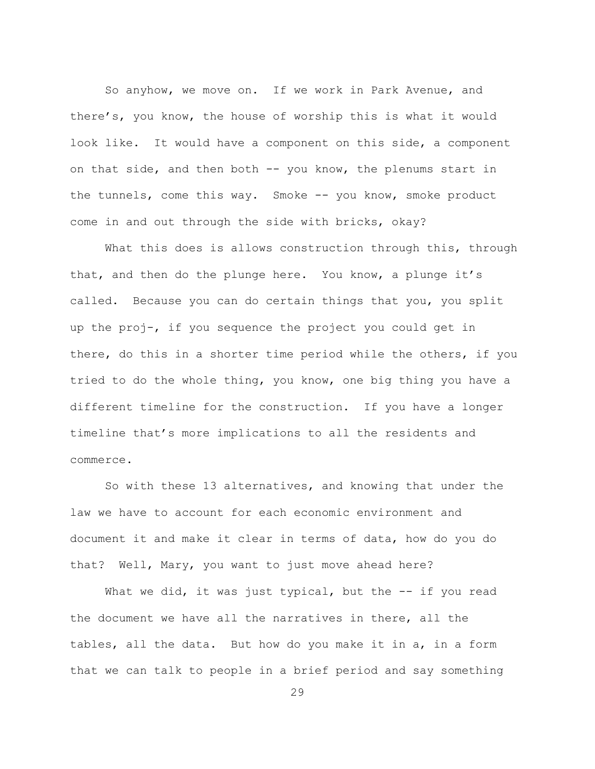So anyhow, we move on. If we work in Park Avenue, and there's, you know, the house of worship this is what it would look like. It would have a component on this side, a component on that side, and then both  $--$  you know, the plenums start in the tunnels, come this way. Smoke  $--$  you know, smoke product come in and out through the side with bricks, okay?

What this does is allows construction through this, through that, and then do the plunge here. You know, a plunge it's called. Because you can do certain things that you, you split up the proj-, if you sequence the project you could get in there, do this in a shorter time period while the others, if you tried to do the whole thing, you know, one big thing you have a different timeline for the construction. If you have a longer timeline that's more implications to all the residents and commerce.

So with these 13 alternatives, and knowing that under the law we have to account for each economic environment and document it and make it clear in terms of data, how do you do that? Well, Mary, you want to just move ahead here?

What we did, it was just typical, but the  $--$  if you read the document we have all the narratives in there, all the tables, all the data. But how do you make it in a, in a form that we can talk to people in a brief period and say something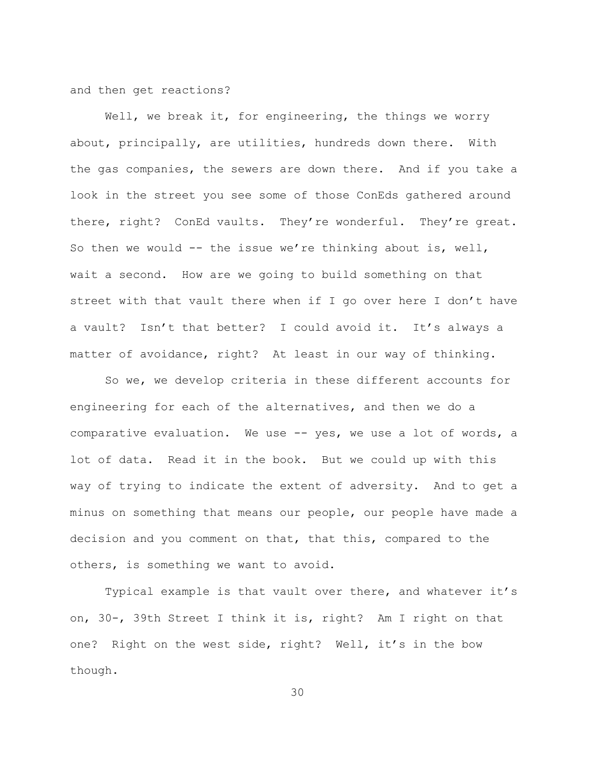and then get reactions?

Well, we break it, for engineering, the things we worry about, principally, are utilities, hundreds down there. With the gas companies, the sewers are down there. And if you take a look in the street you see some of those ConEds gathered around there, right? ConEd vaults. They're wonderful. They're great. So then we would  $--$  the issue we're thinking about is, well, wait a second. How are we going to build something on that street with that vault there when if I go over here I don't have a vault? Isn't that better? I could avoid it. It's always a matter of avoidance, right? At least in our way of thinking.

So we, we develop criteria in these different accounts for engineering for each of the alternatives, and then we do a comparative evaluation. We use -- yes, we use a lot of words, a lot of data. Read it in the book. But we could up with this way of trying to indicate the extent of adversity. And to get a minus on something that means our people, our people have made a decision and you comment on that, that this, compared to the others, is something we want to avoid.

Typical example is that vault over there, and whatever it's on, 30-, 39th Street I think it is, right? Am I right on that one? Right on the west side, right? Well, it's in the bow though.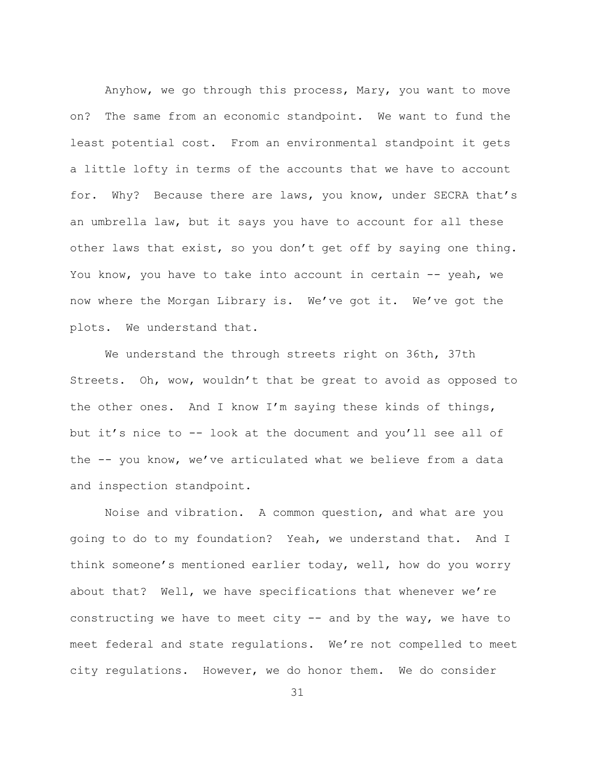Anyhow, we go through this process, Mary, you want to move on? The same from an economic standpoint. We want to fund the least potential cost. From an environmental standpoint it gets a little lofty in terms of the accounts that we have to account for. Why? Because there are laws, you know, under SECRA that's an umbrella law, but it says you have to account for all these other laws that exist, so you don't get off by saying one thing. You know, you have to take into account in certain -- yeah, we now where the Morgan Library is. We've got it. We've got the plots. We understand that.

We understand the through streets right on 36th, 37th Streets. Oh, wow, wouldn't that be great to avoid as opposed to the other ones. And I know I'm saying these kinds of things, but it's nice to -- look at the document and you'll see all of the -- you know, we've articulated what we believe from a data and inspection standpoint.

Noise and vibration. A common question, and what are you going to do to my foundation? Yeah, we understand that. And I think someone's mentioned earlier today, well, how do you worry about that? Well, we have specifications that whenever we're constructing we have to meet city -- and by the way, we have to meet federal and state regulations. We're not compelled to meet city regulations. However, we do honor them. We do consider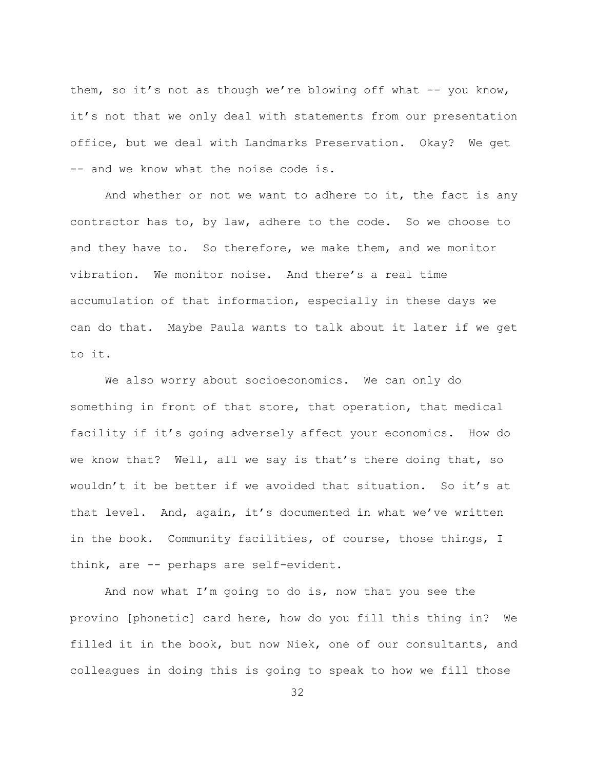them, so it's not as though we're blowing off what  $-$ - you know, it's not that we only deal with statements from our presentation office, but we deal with Landmarks Preservation. Okay? We get -- and we know what the noise code is.

And whether or not we want to adhere to it, the fact is any contractor has to, by law, adhere to the code. So we choose to and they have to. So therefore, we make them, and we monitor vibration. We monitor noise. And there's a real time accumulation of that information, especially in these days we can do that. Maybe Paula wants to talk about it later if we get to it.

We also worry about socioeconomics. We can only do something in front of that store, that operation, that medical facility if it's going adversely affect your economics. How do we know that? Well, all we say is that's there doing that, so wouldn't it be better if we avoided that situation. So it's at that level. And, again, it's documented in what we've written in the book. Community facilities, of course, those things, I think, are -- perhaps are self-evident.

And now what I'm going to do is, now that you see the provino [phonetic] card here, how do you fill this thing in? We filled it in the book, but now Niek, one of our consultants, and colleagues in doing this is going to speak to how we fill those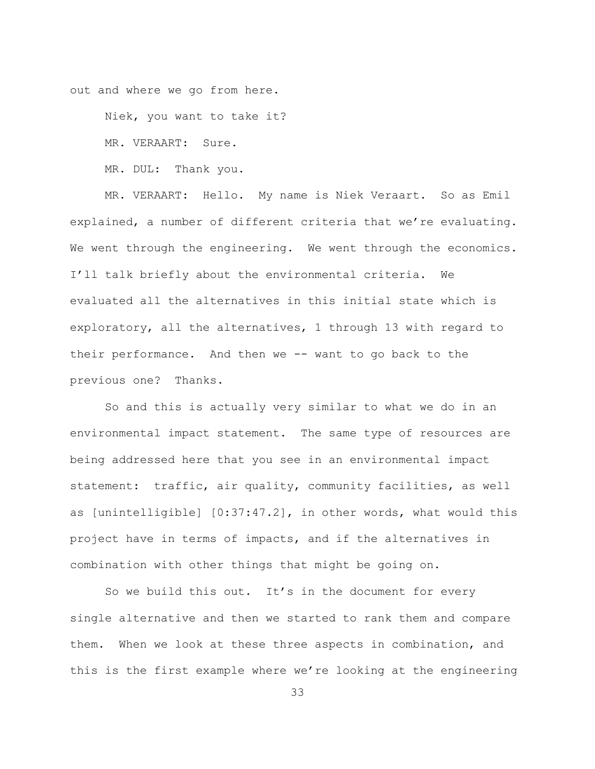out and where we go from here.

Niek, you want to take it?

MR. VERAART: Sure.

MR. DUL: Thank you.

MR. VERAART: Hello. My name is Niek Veraart. So as Emil explained, a number of different criteria that we're evaluating. We went through the engineering. We went through the economics. I'll talk briefly about the environmental criteria. We evaluated all the alternatives in this initial state which is exploratory, all the alternatives, 1 through 13 with regard to their performance. And then we -- want to go back to the previous one? Thanks.

So and this is actually very similar to what we do in an environmental impact statement. The same type of resources are being addressed here that you see in an environmental impact statement: traffic, air quality, community facilities, as well as [unintelligible] [0:37:47.2], in other words, what would this project have in terms of impacts, and if the alternatives in combination with other things that might be going on.

So we build this out. It's in the document for every single alternative and then we started to rank them and compare them. When we look at these three aspects in combination, and this is the first example where we're looking at the engineering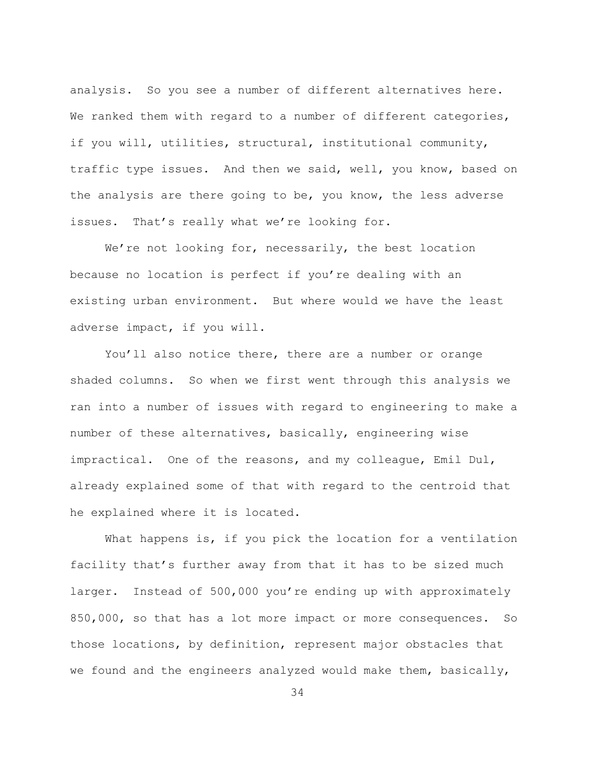analysis. So you see a number of different alternatives here. We ranked them with regard to a number of different categories, if you will, utilities, structural, institutional community, traffic type issues. And then we said, well, you know, based on the analysis are there going to be, you know, the less adverse issues. That's really what we're looking for.

We're not looking for, necessarily, the best location because no location is perfect if you're dealing with an existing urban environment. But where would we have the least adverse impact, if you will.

You'll also notice there, there are a number or orange shaded columns. So when we first went through this analysis we ran into a number of issues with regard to engineering to make a number of these alternatives, basically, engineering wise impractical. One of the reasons, and my colleague, Emil Dul, already explained some of that with regard to the centroid that he explained where it is located.

What happens is, if you pick the location for a ventilation facility that's further away from that it has to be sized much larger. Instead of 500,000 you're ending up with approximately 850,000, so that has a lot more impact or more consequences. So those locations, by definition, represent major obstacles that we found and the engineers analyzed would make them, basically,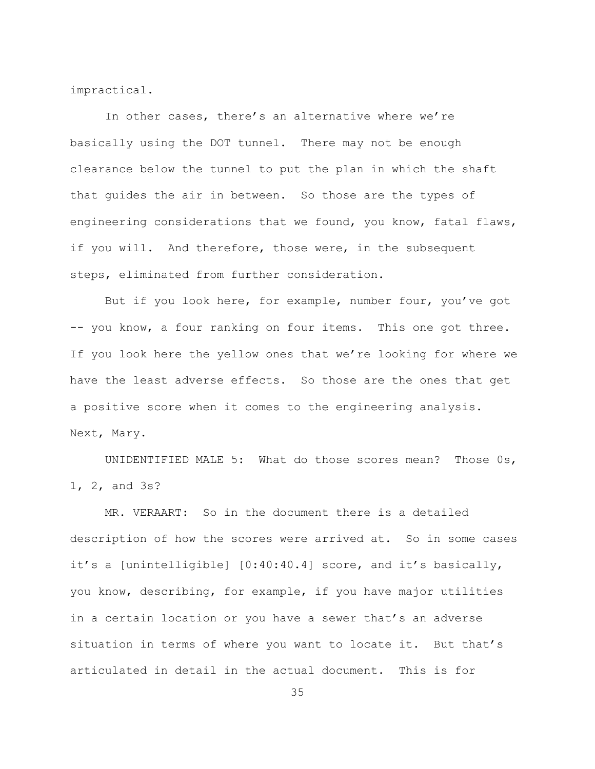impractical.

In other cases, there's an alternative where we're basically using the DOT tunnel. There may not be enough clearance below the tunnel to put the plan in which the shaft that quides the air in between. So those are the types of engineering considerations that we found, you know, fatal flaws, if you will. And therefore, those were, in the subsequent steps, eliminated from further consideration.

But if you look here, for example, number four, you've got -- you know, a four ranking on four items. This one got three. If you look here the yellow ones that we're looking for where we have the least adverse effects. So those are the ones that get a positive score when it comes to the engineering analysis. Next, Mary.

UNIDENTIFIED MALE 5: What do those scores mean? Those 0s, 1, 2, and 3s?

MR. VERAART: So in the document there is a detailed description of how the scores were arrived at. So in some cases it's a [unintelligible] [0:40:40.4] score, and it's basically, you know, describing, for example, if you have major utilities in a certain location or you have a sewer that's an adverse situation in terms of where you want to locate it. But that's articulated in detail in the actual document. This is for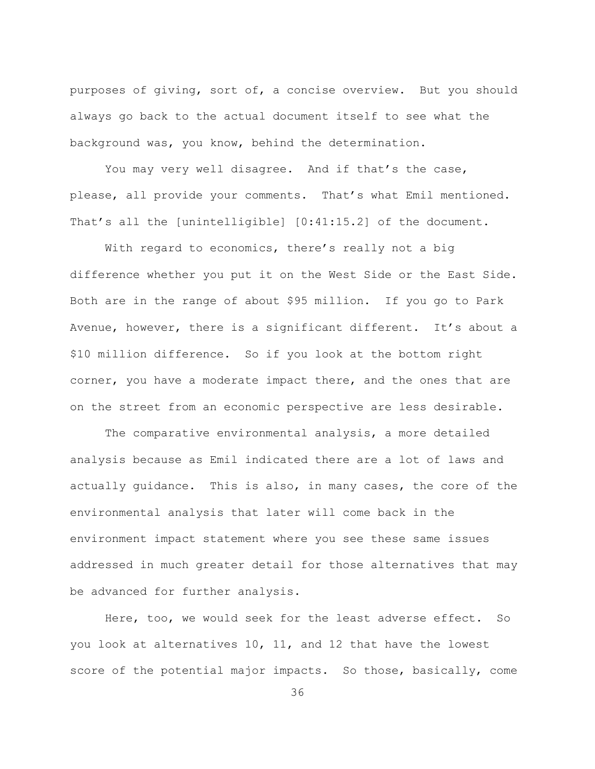purposes of giving, sort of, a concise overview. But you should always go back to the actual document itself to see what the background was, you know, behind the determination.

You may very well disagree. And if that's the case, please, all provide your comments. That's what Emil mentioned. That's all the [unintelligible]  $[0:41:15.2]$  of the document.

With regard to economics, there's really not a big difference whether you put it on the West Side or the East Side. Both are in the range of about \$95 million. If you go to Park Avenue, however, there is a significant different. It's about a \$10 million difference. So if you look at the bottom right corner, you have a moderate impact there, and the ones that are on the street from an economic perspective are less desirable.

The comparative environmental analysis, a more detailed analysis because as Emil indicated there are a lot of laws and actually guidance. This is also, in many cases, the core of the environmental analysis that later will come back in the environment impact statement where you see these same issues addressed in much greater detail for those alternatives that may be advanced for further analysis.

Here, too, we would seek for the least adverse effect. So you look at alternatives 10, 11, and 12 that have the lowest score of the potential major impacts. So those, basically, come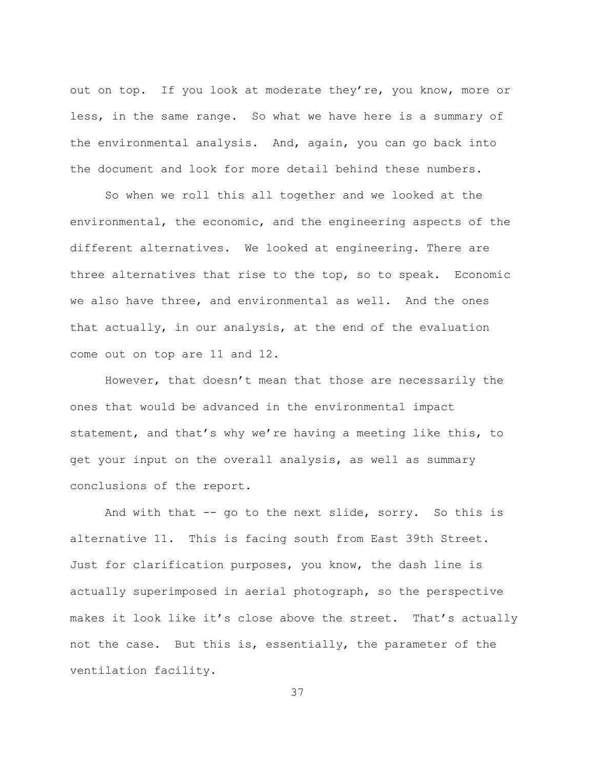out on top. If you look at moderate they're, you know, more or less, in the same range. So what we have here is a summary of the environmental analysis. And, again, you can go back into the document and look for more detail behind these numbers.

So when we roll this all together and we looked at the environmental, the economic, and the engineering aspects of the different alternatives. We looked at engineering. There are three alternatives that rise to the top, so to speak. Economic we also have three, and environmental as well. And the ones that actually, in our analysis, at the end of the evaluation come out on top are 11 and 12.

However, that doesn't mean that those are necessarily the ones that would be advanced in the environmental impact statement, and that's why we're having a meeting like this, to get your input on the overall analysis, as well as summary conclusions of the report.

And with that  $-$  go to the next slide, sorry. So this is alternative 11. This is facing south from East 39th Street. Just for clarification purposes, you know, the dash line is actually superimposed in aerial photograph, so the perspective makes it look like it's close above the street. That's actually not the case. But this is, essentially, the parameter of the ventilation facility.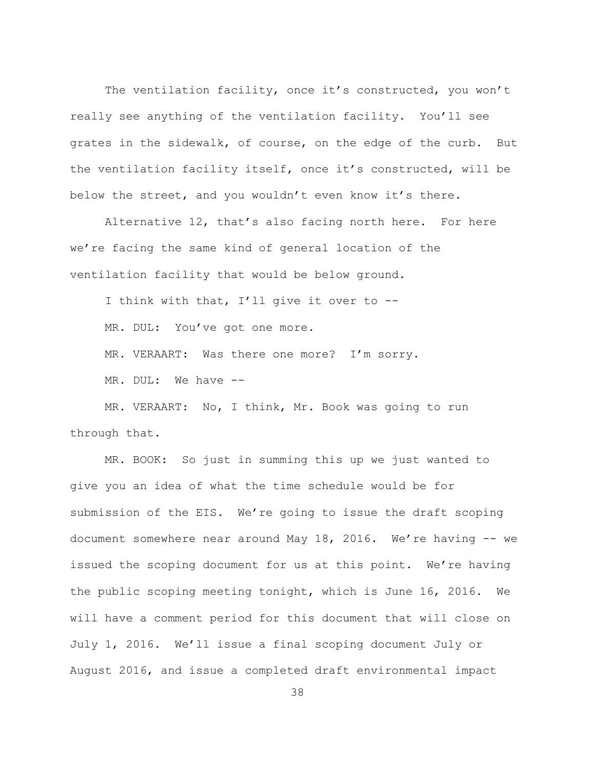The ventilation facility, once it's constructed, you won't really see anything of the ventilation facility. You'll see grates in the sidewalk, of course, on the edge of the curb. But the ventilation facility itself, once it's constructed, will be below the street, and you wouldn't even know it's there.

Alternative 12, that's also facing north here. For here we're facing the same kind of general location of the ventilation facility that would be below ground.

I think with that, I'll give it over to --

MR. DUL: You've got one more.

MR. VERAART: Was there one more? I'm sorry.

MR. DUL: We have --

MR. VERAART: No, I think, Mr. Book was going to run through that.

MR. BOOK: So just in summing this up we just wanted to give you an idea of what the time schedule would be for submission of the EIS. We're going to issue the draft scoping document somewhere near around May 18, 2016. We're having -- we issued the scoping document for us at this point. We're having the public scoping meeting tonight, which is June 16, 2016. We will have a comment period for this document that will close on July 1, 2016. We'll issue a final scoping document July or August 2016, and issue a completed draft environmental impact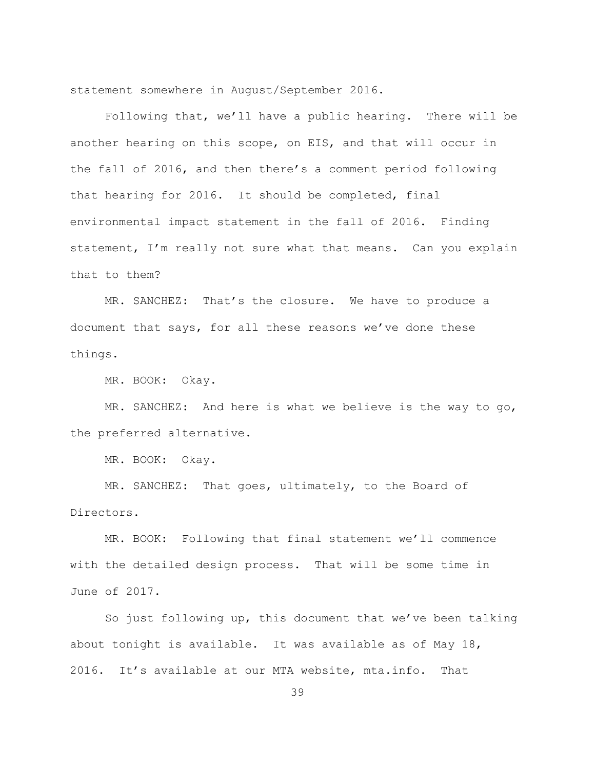statement somewhere in August/September 2016.

Following that, we'll have a public hearing. There will be another hearing on this scope, on EIS, and that will occur in the fall of 2016, and then there's a comment period following that hearing for 2016. It should be completed, final environmental impact statement in the fall of 2016. Finding statement, I'm really not sure what that means. Can you explain that to them?

MR. SANCHEZ: That's the closure. We have to produce a document that says, for all these reasons we've done these things.

MR. BOOK: Okay.

MR. SANCHEZ: And here is what we believe is the way to go, the preferred alternative.

MR. BOOK: Okay.

MR. SANCHEZ: That goes, ultimately, to the Board of Directors.

MR. BOOK: Following that final statement we'll commence with the detailed design process. That will be some time in June of 2017.

So just following up, this document that we've been talking about tonight is available. It was available as of May 18, 2016. It's available at our MTA website, mta.info. That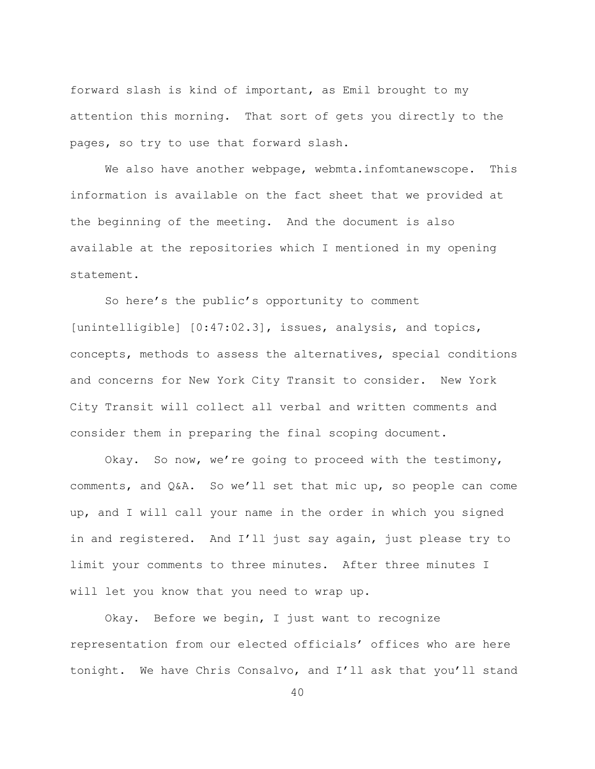forward slash is kind of important, as Emil brought to my attention this morning. That sort of gets you directly to the pages, so try to use that forward slash.

We also have another webpage, webmta.infomtanewscope. This information is available on the fact sheet that we provided at the beginning of the meeting. And the document is also available at the repositories which I mentioned in my opening statement.

So here's the public's opportunity to comment [unintelligible]  $[0:47:02.3]$ , issues, analysis, and topics, concepts, methods to assess the alternatives, special conditions and concerns for New York City Transit to consider. New York City Transit will collect all verbal and written comments and consider them in preparing the final scoping document.

Okay. So now, we're going to proceed with the testimony, comments, and  $Q\&A$ . So we'll set that mic up, so people can come up, and I will call your name in the order in which you signed in and registered. And I'll just say again, just please try to limit your comments to three minutes. After three minutes I will let you know that you need to wrap up.

Okay. Before we begin, I just want to recognize representation from our elected officials' offices who are here tonight. We have Chris Consalvo, and I'll ask that you'll stand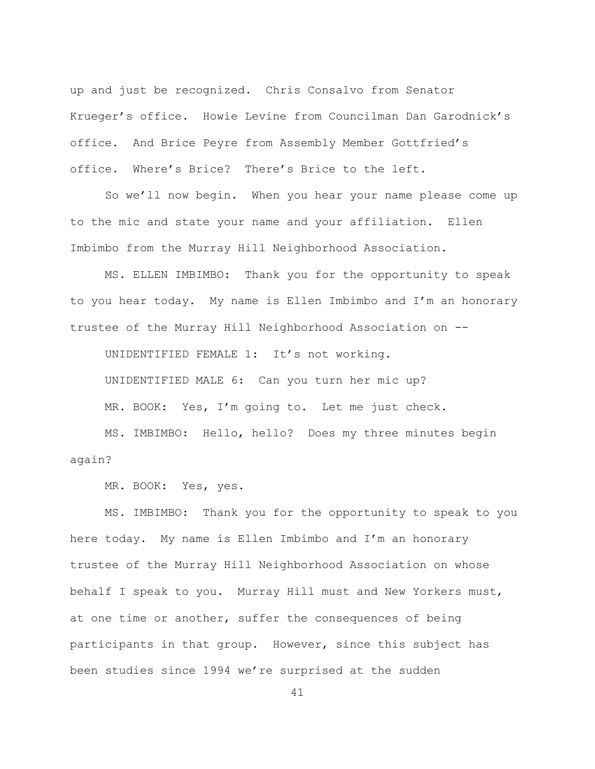up and just be recognized. Chris Consalvo from Senator Krueger's office. Howie Levine from Councilman Dan Garodnick's office. And Brice Peyre from Assembly Member Gottfried's office. Where's Brice? There's Brice to the left.

So we'll now begin. When you hear your name please come up to the mic and state your name and your affiliation. Ellen Imbimbo from the Murray Hill Neighborhood Association.

MS. ELLEN IMBIMBO: Thank you for the opportunity to speak to you hear today. My name is Ellen Imbimbo and I'm an honorary trustee of the Murray Hill Neighborhood Association on --

UNIDENTIFIED FEMALE 1: It's not working.

UNIDENTIFIED MALE 6: Can you turn her mic up?

MR. BOOK: Yes, I'm going to. Let me just check.

MS. IMBIMBO: Hello, hello? Does my three minutes begin again?

MR. BOOK: Yes, yes.

MS. IMBIMBO: Thank you for the opportunity to speak to you here today. My name is Ellen Imbimbo and I'm an honorary trustee of the Murray Hill Neighborhood Association on whose behalf I speak to you. Murray Hill must and New Yorkers must, at one time or another, suffer the consequences of being participants in that group. However, since this subject has been studies since 1994 we're surprised at the sudden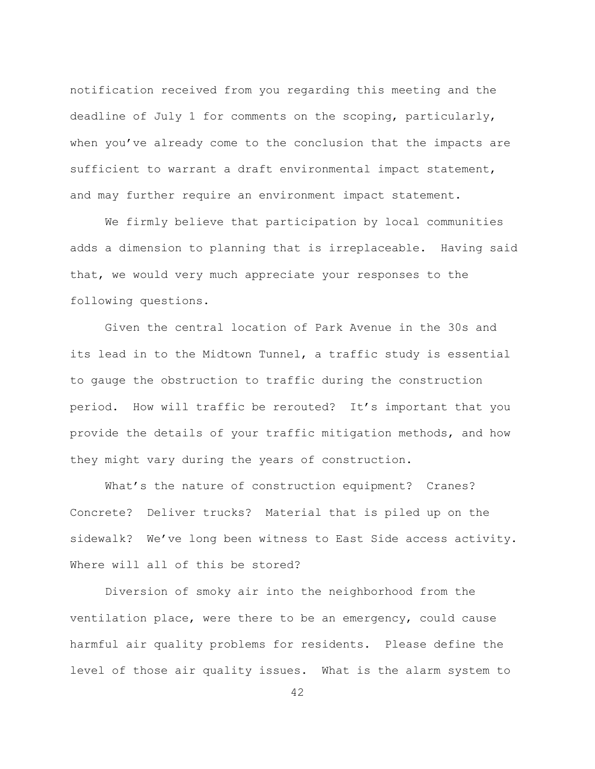notification received from you regarding this meeting and the deadline of July 1 for comments on the scoping, particularly, when you've already come to the conclusion that the impacts are sufficient to warrant a draft environmental impact statement, and may further require an environment impact statement.

We firmly believe that participation by local communities adds a dimension to planning that is irreplaceable. Having said that, we would very much appreciate your responses to the following questions.

Given the central location of Park Avenue in the 30s and its lead in to the Midtown Tunnel, a traffic study is essential to gauge the obstruction to traffic during the construction period. How will traffic be rerouted? It's important that you provide the details of your traffic mitigation methods, and how they might vary during the years of construction.

What's the nature of construction equipment? Cranes? Concrete? Deliver trucks? Material that is piled up on the sidewalk? We've long been witness to East Side access activity. Where will all of this be stored?

Diversion of smoky air into the neighborhood from the ventilation place, were there to be an emergency, could cause harmful air quality problems for residents. Please define the level of those air quality issues. What is the alarm system to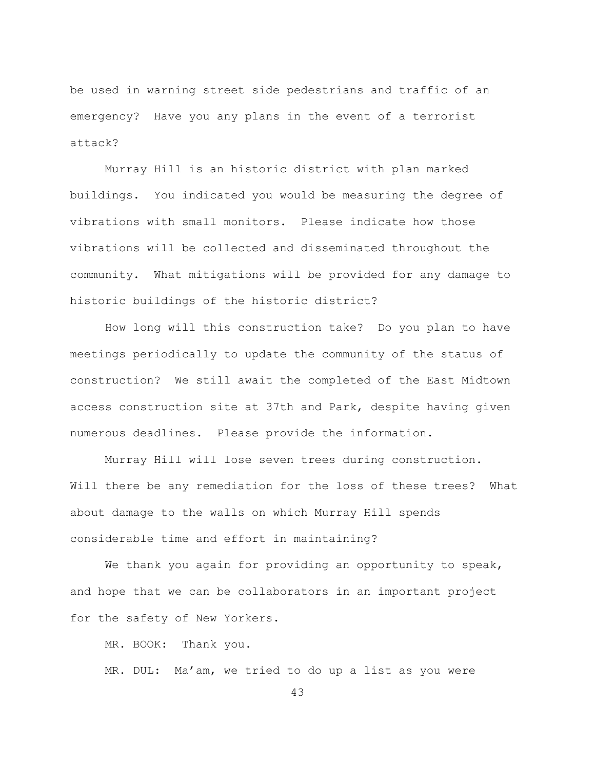be used in warning street side pedestrians and traffic of an emergency? Have you any plans in the event of a terrorist attack?

Murray Hill is an historic district with plan marked buildings. You indicated you would be measuring the degree of vibrations with small monitors. Please indicate how those vibrations will be collected and disseminated throughout the community. What mitigations will be provided for any damage to historic buildings of the historic district?

How long will this construction take? Do you plan to have meetings periodically to update the community of the status of construction? We still await the completed of the East Midtown access construction site at 37th and Park, despite having given numerous deadlines. Please provide the information.

Murray Hill will lose seven trees during construction. Will there be any remediation for the loss of these trees? What about damage to the walls on which Murray Hill spends considerable time and effort in maintaining?

We thank you again for providing an opportunity to speak, and hope that we can be collaborators in an important project for the safety of New Yorkers.

MR. BOOK: Thank you.

MR. DUL: Ma'am, we tried to do up a list as you were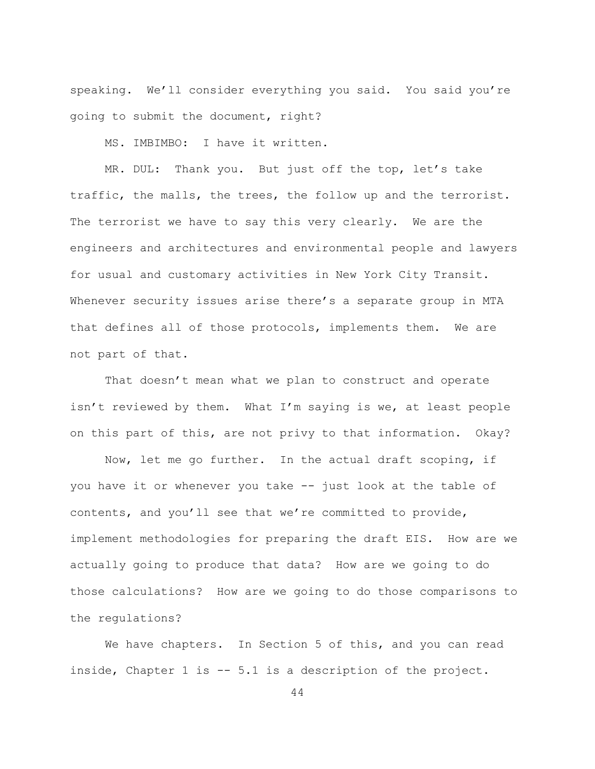speaking. We'll consider everything you said. You said you're going to submit the document, right?

MS. IMBIMBO: I have it written.

MR. DUL: Thank you. But just off the top, let's take traffic, the malls, the trees, the follow up and the terrorist. The terrorist we have to say this very clearly. We are the engineers and architectures and environmental people and lawyers for usual and customary activities in New York City Transit. Whenever security issues arise there's a separate group in MTA that defines all of those protocols, implements them. We are not part of that.

That doesn't mean what we plan to construct and operate isn't reviewed by them. What  $I'm$  saving is we, at least people on this part of this, are not privy to that information. Okay?

Now, let me go further. In the actual draft scoping, if you have it or whenever you take -- just look at the table of contents, and you'll see that we're committed to provide, implement methodologies for preparing the draft EIS. How are we actually going to produce that data? How are we going to do those calculations? How are we going to do those comparisons to the regulations?

We have chapters. In Section 5 of this, and you can read inside, Chapter 1 is  $-5.1$  is a description of the project.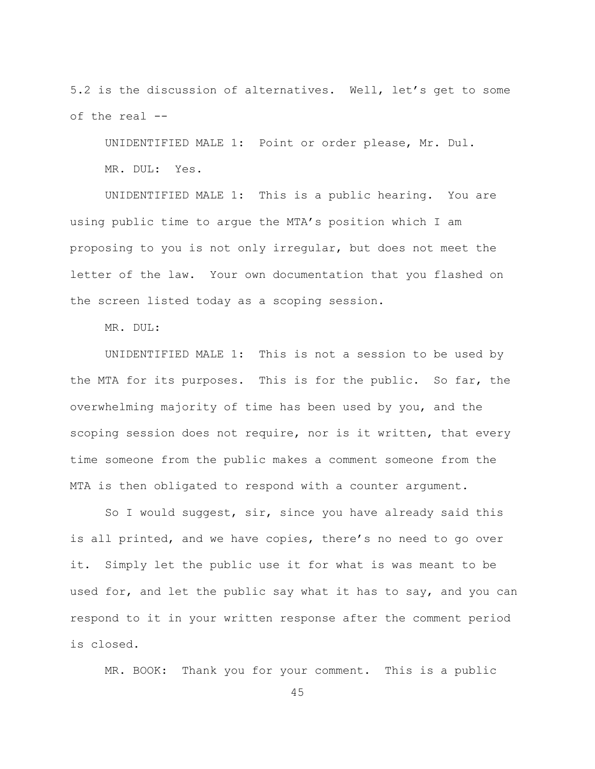5.2 is the discussion of alternatives. Well, let's get to some of the real --

UNIDENTIFIED MALE 1: Point or order please, Mr. Dul. MR. DUL: Yes.

UNIDENTIFIED MALE 1: This is a public hearing. You are using public time to arque the MTA's position which I am proposing to you is not only irregular, but does not meet the letter of the law. Your own documentation that you flashed on the screen listed today as a scoping session.

MR. DUL:

UNIDENTIFIED MALE 1: This is not a session to be used by the MTA for its purposes. This is for the public. So far, the overwhelming majority of time has been used by you, and the scoping session does not require, nor is it written, that every time someone from the public makes a comment someone from the MTA is then obligated to respond with a counter argument.

So I would suggest, sir, since you have already said this is all printed, and we have copies, there's no need to go over it. Simply let the public use it for what is was meant to be used for, and let the public say what it has to say, and you can respond to it in your written response after the comment period is closed.

MR. BOOK: Thank you for your comment. This is a public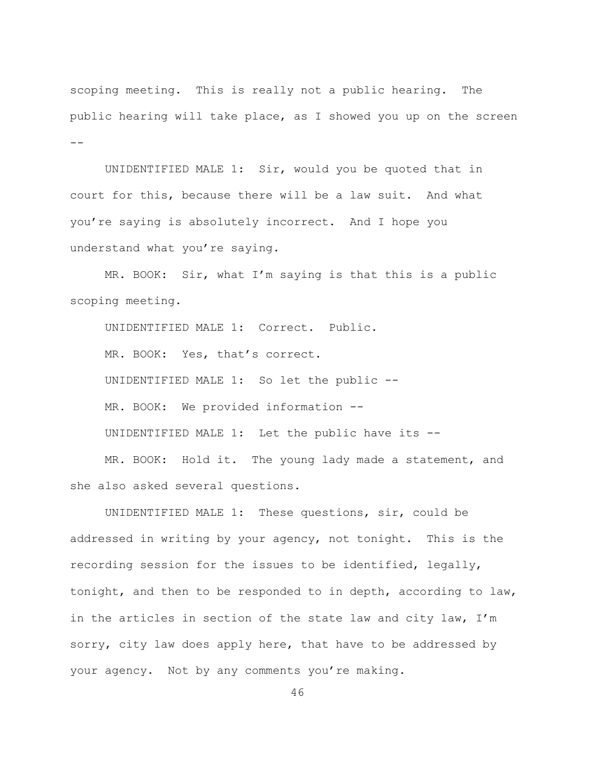scoping meeting. This is really not a public hearing. The public hearing will take place, as I showed you up on the screen  $\equiv$   $\equiv$ 

UNIDENTIFIED MALE 1: Sir, would you be quoted that in court for this, because there will be a law suit. And what you're saying is absolutely incorrect. And I hope you understand what you're saying.

 $MR. BOOK: Sir, what I'm saying is that this is a public.$ scoping meeting.

UNIDENTIFIED MALE 1: Correct. Public. MR. BOOK: Yes, that's correct. UNIDENTIFIED MALE 1: So let the public  $-$ MR. BOOK: We provided information --UNIDENTIFIED MALE 1: Let the public have its  $-$ 

MR. BOOK: Hold it. The young lady made a statement, and she also asked several questions.

UNIDENTIFIED MALE 1: These questions, sir, could be addressed in writing by your agency, not tonight. This is the recording session for the issues to be identified, legally, tonight, and then to be responded to in depth, according to law, in the articles in section of the state law and city law, I'm sorry, city law does apply here, that have to be addressed by your agency. Not by any comments you're making.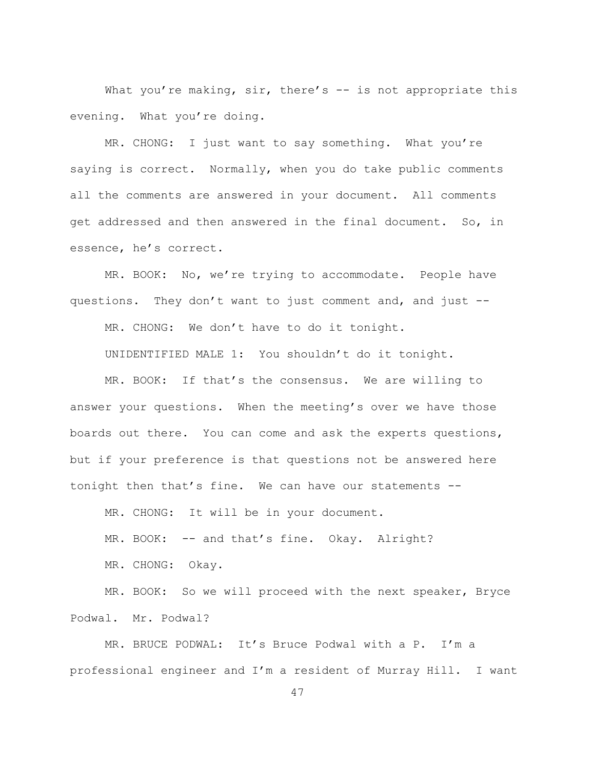What you're making, sir, there's  $-$  is not appropriate this evening. What you're doing.

MR. CHONG: I just want to say something. What you're saying is correct. Normally, when you do take public comments all the comments are answered in your document. All comments get addressed and then answered in the final document. So, in essence, he's correct.

MR. BOOK: No, we're trying to accommodate. People have questions. They don't want to just comment and, and just  $-$ 

MR. CHONG: We don't have to do it tonight.

UNIDENTIFIED MALE 1: You shouldn't do it tonight.

MR. BOOK: If that's the consensus. We are willing to answer your questions. When the meeting's over we have those boards out there. You can come and ask the experts questions, but if your preference is that questions not be answered here tonight then that's fine. We can have our statements --

MR. CHONG: It will be in your document.

MR. BOOK: -- and that's fine. Okay. Alright?

MR. CHONG: Okay.

MR. BOOK: So we will proceed with the next speaker, Bryce Podwal. Mr. Podwal?

MR. BRUCE PODWAL: It's Bruce Podwal with a P. I'm a professional engineer and I'm a resident of Murray Hill. I want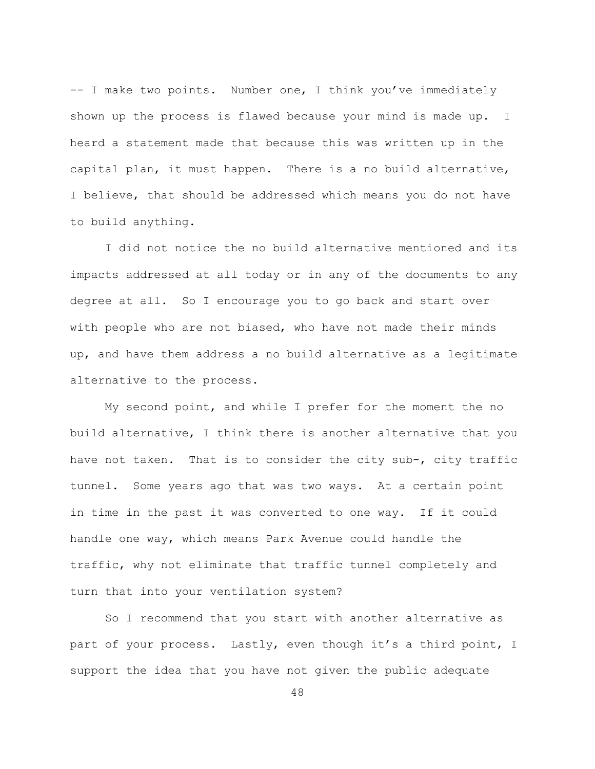$-$  I make two points. Number one, I think you've immediately shown up the process is flawed because your mind is made up. I heard a statement made that because this was written up in the capital plan, it must happen. There is a no build alternative, I believe, that should be addressed which means you do not have to build anything.

I did not notice the no build alternative mentioned and its impacts addressed at all today or in any of the documents to any degree at all. So I encourage you to go back and start over with people who are not biased, who have not made their minds up, and have them address a no build alternative as a legitimate alternative to the process.

My second point, and while I prefer for the moment the no build alternative, I think there is another alternative that you have not taken. That is to consider the city sub-, city traffic tunnel. Some years ago that was two ways. At a certain point in time in the past it was converted to one way. If it could handle one way, which means Park Avenue could handle the traffic, why not eliminate that traffic tunnel completely and turn that into your ventilation system?

So I recommend that you start with another alternative as part of your process. Lastly, even though it's a third point, I support the idea that you have not given the public adequate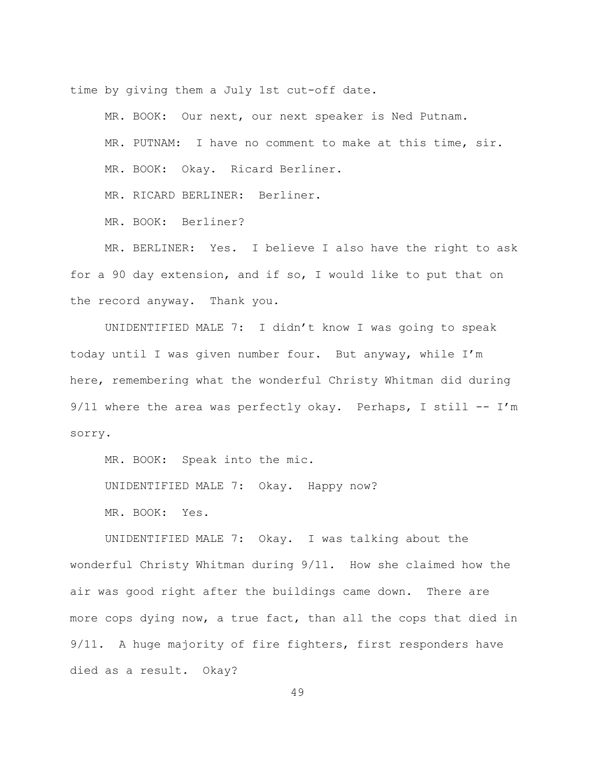time by giving them a July 1st cut-off date.

MR. BOOK: Our next, our next speaker is Ned Putnam. MR. PUTNAM: I have no comment to make at this time, sir. MR. BOOK: Okay. Ricard Berliner.

MR. RICARD BERLINER: Berliner.

MR. BOOK: Berliner?

MR. BERLINER: Yes. I believe I also have the right to ask for a 90 day extension, and if so, I would like to put that on the record anyway. Thank you.

UNIDENTIFIED MALE 7: I didn't know I was going to speak today until I was given number four. But anyway, while I'm here, remembering what the wonderful Christy Whitman did during 9/11 where the area was perfectly okay. Perhaps, I still  $-- I'm$ sorry.

MR. BOOK: Speak into the mic.

UNIDENTIFIED MALE 7: Okay. Happy now?

MR. BOOK: Yes.

UNIDENTIFIED MALE 7: Okay. I was talking about the wonderful Christy Whitman during  $9/11$ . How she claimed how the air was good right after the buildings came down. There are more cops dying now, a true fact, than all the cops that died in 9/11. A huge majority of fire fighters, first responders have died as a result. Okay?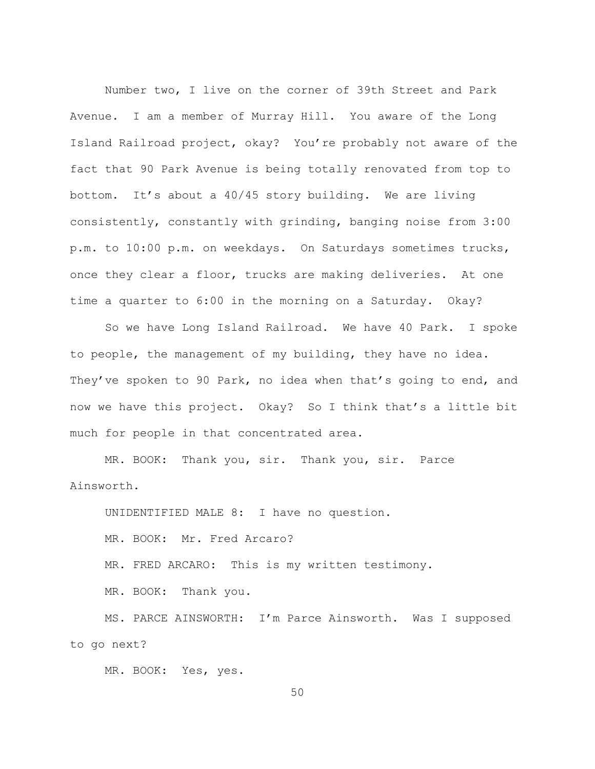Number two, I live on the corner of 39th Street and Park Avenue. I am a member of Murray Hill. You aware of the Long Island Railroad project, okay? You're probably not aware of the fact that 90 Park Avenue is being totally renovated from top to bottom. It's about a  $40/45$  story building. We are living consistently, constantly with grinding, banging noise from 3:00 p.m. to 10:00 p.m. on weekdays. On Saturdays sometimes trucks, once they clear a floor, trucks are making deliveries. At one time a quarter to 6:00 in the morning on a Saturday. Okay?

So we have Long Island Railroad. We have 40 Park. I spoke to people, the management of my building, they have no idea. They've spoken to 90 Park, no idea when that's going to end, and now we have this project. Okay? So I think that's a little bit much for people in that concentrated area.

MR. BOOK: Thank you, sir. Thank you, sir. Parce Ainsworth.

UNIDENTIFIED MALE 8: I have no question.

MR. BOOK: Mr. Fred Arcaro?

MR. FRED ARCARO: This is my written testimony.

MR. BOOK: Thank you.

MS. PARCE AINSWORTH: I'm Parce Ainsworth. Was I supposed to go next?

MR. BOOK: Yes, yes.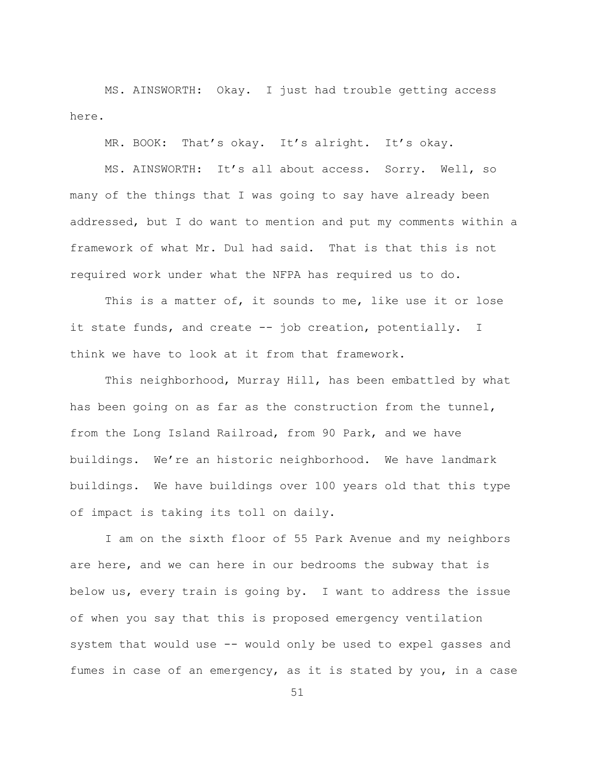MS. AINSWORTH: Okay. I just had trouble getting access here.

MR. BOOK: That's okay. It's alright. It's okay.

MS. AINSWORTH: It's all about access. Sorry. Well, so many of the things that I was going to say have already been addressed, but I do want to mention and put my comments within a framework of what Mr. Dul had said. That is that this is not required work under what the NFPA has required us to do.

This is a matter of, it sounds to me, like use it or lose it state funds, and create  $-$  job creation, potentially. I think we have to look at it from that framework.

This neighborhood, Murray Hill, has been embattled by what has been going on as far as the construction from the tunnel, from the Long Island Railroad, from 90 Park, and we have buildings. We're an historic neighborhood. We have landmark buildings. We have buildings over 100 years old that this type of impact is taking its toll on daily.

I am on the sixth floor of 55 Park Avenue and my neighbors are here, and we can here in our bedrooms the subway that is below us, every train is going by. I want to address the issue of when you say that this is proposed emergency ventilation system that would use  $-$  would only be used to expel gasses and fumes in case of an emergency, as it is stated by you, in a case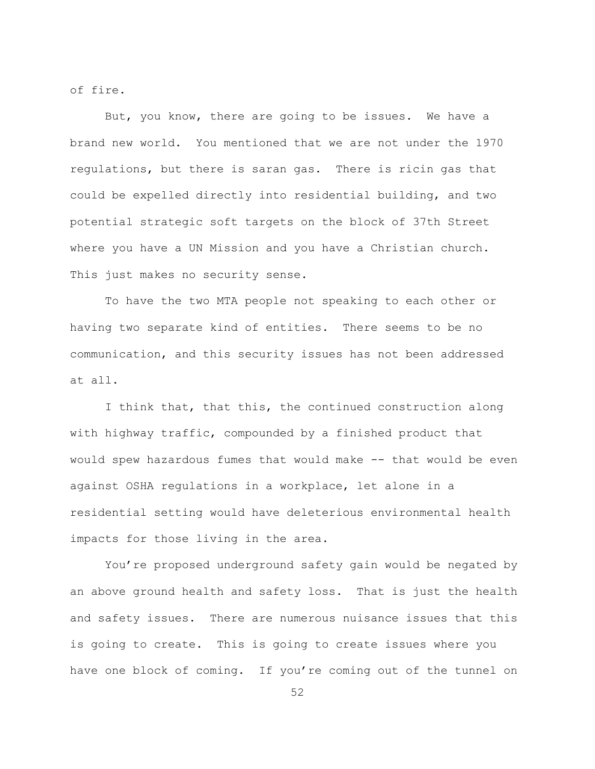of fire.

But, you know, there are going to be issues. We have a brand new world. You mentioned that we are not under the 1970 regulations, but there is saran gas. There is ricin gas that could be expelled directly into residential building, and two potential strategic soft targets on the block of 37th Street where you have a UN Mission and you have a Christian church. This just makes no security sense.

To have the two MTA people not speaking to each other or having two separate kind of entities. There seems to be no communication, and this security issues has not been addressed at all.

I think that, that this, the continued construction along with highway traffic, compounded by a finished product that would spew hazardous fumes that would make -- that would be even against OSHA regulations in a workplace, let alone in a residential setting would have deleterious environmental health impacts for those living in the area.

You're proposed underground safety gain would be negated by an above ground health and safety loss. That is just the health and safety issues. There are numerous nuisance issues that this is going to create. This is going to create issues where you have one block of coming. If you're coming out of the tunnel on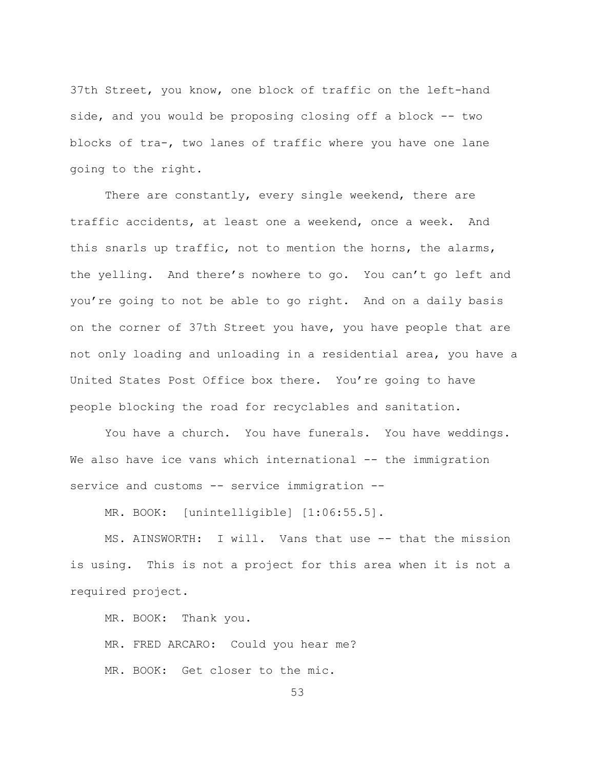37th Street, you know, one block of traffic on the left-hand side, and you would be proposing closing off a block  $-$  two blocks of tra-, two lanes of traffic where you have one lane going to the right.

There are constantly, every single weekend, there are traffic accidents, at least one a weekend, once a week. And this snarls up traffic, not to mention the horns, the alarms, the yelling. And there's nowhere to go. You can't go left and you're going to not be able to go right. And on a daily basis on the corner of 37th Street you have, you have people that are not only loading and unloading in a residential area, you have a United States Post Office box there. You're going to have people blocking the road for recyclables and sanitation.

You have a church. You have funerals. You have weddings. We also have ice vans which international -- the immigration service and customs  $--$  service immigration  $--$ 

MR. BOOK: [unintelligible] [1:06:55.5].

MS. AINSWORTH: I will. Vans that use -- that the mission is using. This is not a project for this area when it is not a required project.

MR. BOOK: Thank you.

MR. FRED ARCARO: Could you hear me?

MR. BOOK: Get closer to the mic.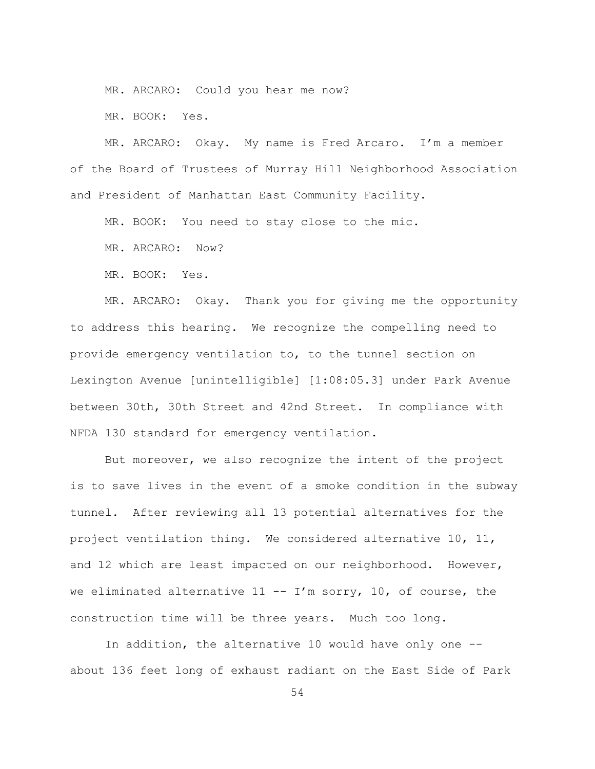MR. ARCARO: Could you hear me now?

MR. BOOK: Yes.

MR. ARCARO: Okay. My name is Fred Arcaro. I'm a member of the Board of Trustees of Murray Hill Neighborhood Association and President of Manhattan East Community Facility.

MR. BOOK: You need to stay close to the mic.

MR. ARCARO: Now?

MR. BOOK: Yes.

MR. ARCARO: Okay. Thank you for giving me the opportunity to address this hearing. We recognize the compelling need to provide emergency ventilation to, to the tunnel section on Lexington Avenue [unintelligible] [1:08:05.3] under Park Avenue between 30th, 30th Street and 42nd Street. In compliance with NFDA 130 standard for emergency ventilation.

But moreover, we also recognize the intent of the project is to save lives in the event of a smoke condition in the subway tunnel. After reviewing all 13 potential alternatives for the project ventilation thing. We considered alternative 10, 11, and 12 which are least impacted on our neighborhood. However, we eliminated alternative  $11$  -- I'm sorry, 10, of course, the construction time will be three years. Much too long.

In addition, the alternative 10 would have only one  $-$ about 136 feet long of exhaust radiant on the East Side of Park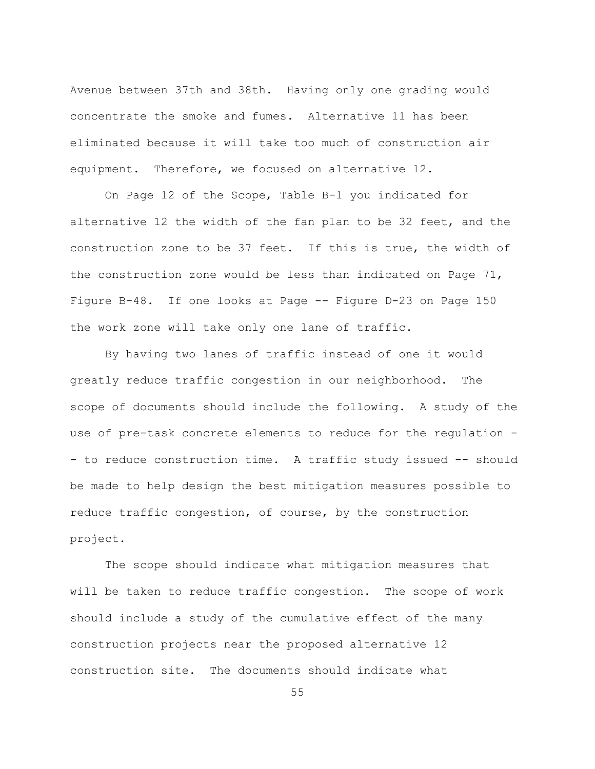Avenue between 37th and 38th. Having only one grading would concentrate the smoke and fumes. Alternative 11 has been eliminated because it will take too much of construction air equipment. Therefore, we focused on alternative 12.

On Page 12 of the Scope, Table B-1 you indicated for alternative 12 the width of the fan plan to be 32 feet, and the construction zone to be 37 feet. If this is true, the width of the construction zone would be less than indicated on Page  $71$ , Figure B-48. If one looks at Page -- Figure D-23 on Page 150 the work zone will take only one lane of traffic.

By having two lanes of traffic instead of one it would greatly reduce traffic congestion in our neighborhood. The scope of documents should include the following. A study of the use of pre-task concrete elements to reduce for the regulation -- to reduce construction time. A traffic study issued -- should be made to help design the best mitigation measures possible to reduce traffic congestion, of course, by the construction project.

The scope should indicate what mitigation measures that will be taken to reduce traffic congestion. The scope of work should include a study of the cumulative effect of the many construction projects near the proposed alternative 12 construction site. The documents should indicate what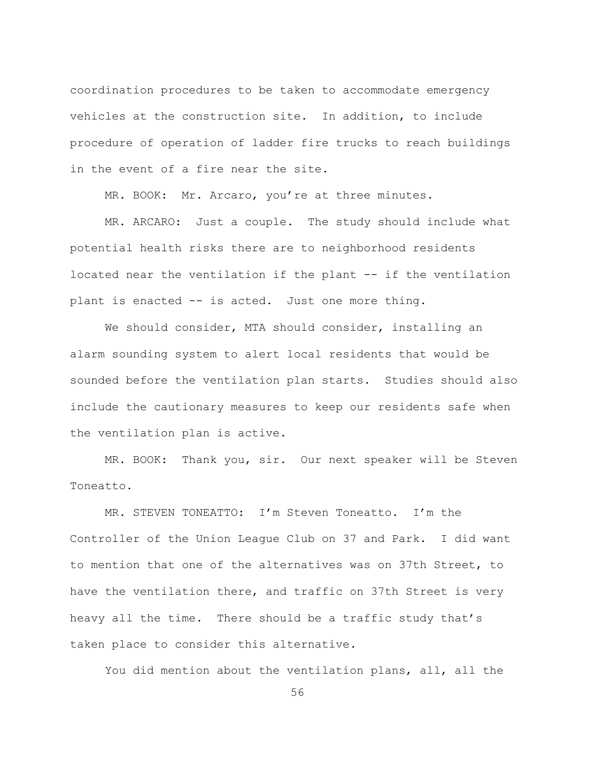coordination procedures to be taken to accommodate emergency vehicles at the construction site. In addition, to include procedure of operation of ladder fire trucks to reach buildings in the event of a fire near the site.

MR. BOOK: Mr. Arcaro, you're at three minutes.

MR. ARCARO: Just a couple. The study should include what potential health risks there are to neighborhood residents located near the ventilation if the plant -- if the ventilation plant is enacted -- is acted. Just one more thing.

We should consider, MTA should consider, installing an alarm sounding system to alert local residents that would be sounded before the ventilation plan starts. Studies should also include the cautionary measures to keep our residents safe when the ventilation plan is active.

MR. BOOK: Thank you, sir. Our next speaker will be Steven Toneatto.

MR. STEVEN TONEATTO: I'm Steven Toneatto. I'm the Controller of the Union League Club on 37 and Park. I did want to mention that one of the alternatives was on 37th Street, to have the ventilation there, and traffic on 37th Street is very heavy all the time. There should be a traffic study that's taken place to consider this alternative.

You did mention about the ventilation plans, all, all the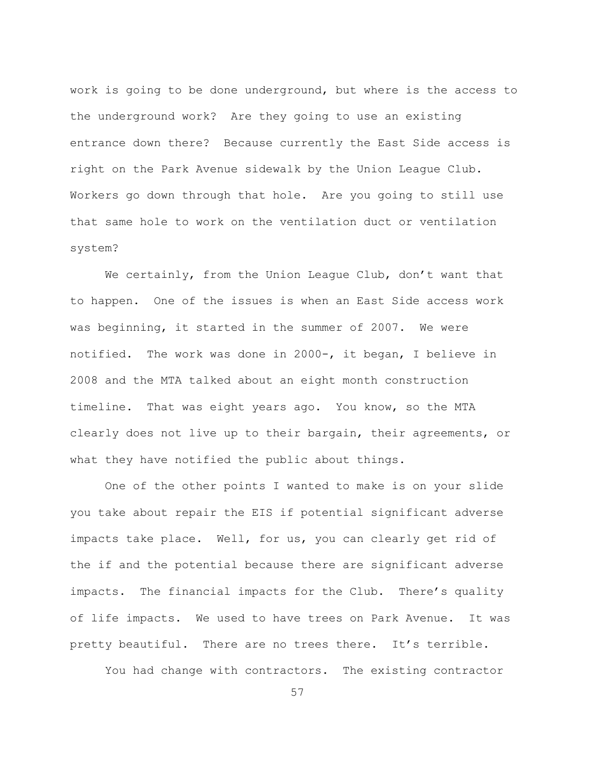work is going to be done underground, but where is the access to the underground work? Are they going to use an existing entrance down there? Because currently the East Side access is right on the Park Avenue sidewalk by the Union League Club. Workers go down through that hole. Are you going to still use that same hole to work on the ventilation duct or ventilation system?

We certainly, from the Union Leaque Club, don't want that to happen. One of the issues is when an East Side access work was beginning, it started in the summer of 2007. We were notified. The work was done in 2000-, it began, I believe in 2008 and the MTA talked about an eight month construction timeline. That was eight years ago. You know, so the MTA clearly does not live up to their bargain, their agreements, or what they have notified the public about things.

One of the other points I wanted to make is on your slide you take about repair the EIS if potential significant adverse impacts take place. Well, for us, you can clearly get rid of the if and the potential because there are significant adverse impacts. The financial impacts for the Club. There's quality of life impacts. We used to have trees on Park Avenue. It was pretty beautiful. There are no trees there. It's terrible.

You had change with contractors. The existing contractor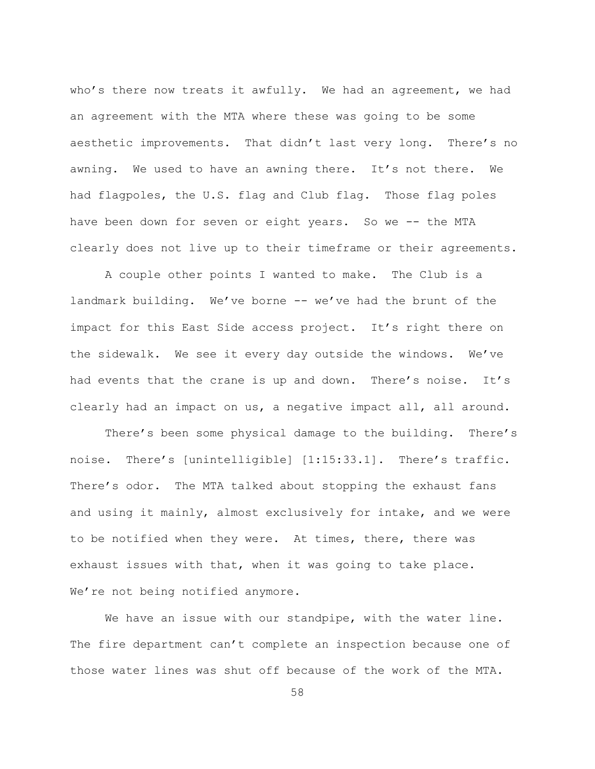who's there now treats it awfully. We had an agreement, we had an agreement with the MTA where these was going to be some aesthetic improvements. That didn't last very long. There's no awning. We used to have an awning there. It's not there. We had flagpoles, the U.S. flag and Club flag. Those flag poles have been down for seven or eight years. So we -- the MTA clearly does not live up to their timeframe or their agreements.

A couple other points I wanted to make. The Club is a landmark building. We've borne -- we've had the brunt of the impact for this East Side access project. It's right there on the sidewalk. We see it every day outside the windows. We've had events that the crane is up and down. There's noise. It's clearly had an impact on us, a negative impact all, all around.

There's been some physical damage to the building. There's noise. There's [unintelligible] [1:15:33.1]. There's traffic. There's odor. The MTA talked about stopping the exhaust fans and using it mainly, almost exclusively for intake, and we were to be notified when they were. At times, there, there was exhaust issues with that, when it was going to take place. We're not being notified anymore.

We have an issue with our standpipe, with the water line. The fire department can't complete an inspection because one of those water lines was shut off because of the work of the MTA.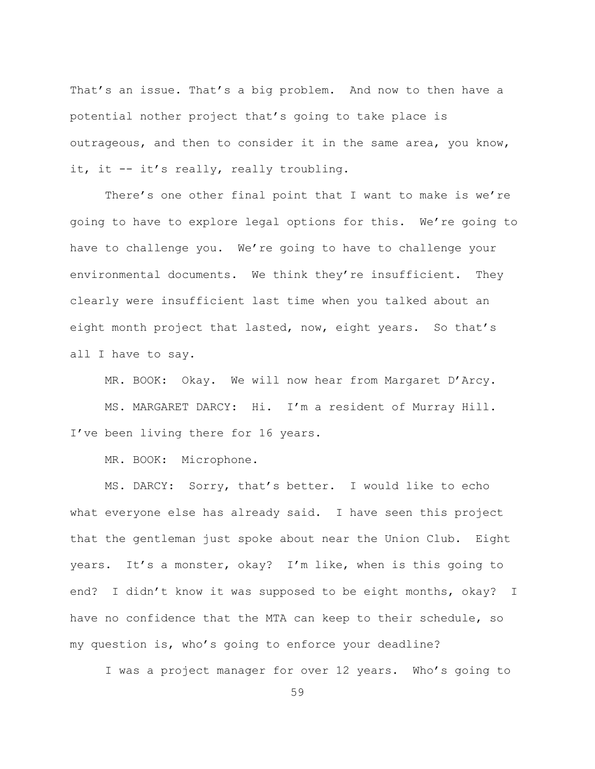That's an issue. That's a big problem. And now to then have a potential nother project that's going to take place is outrageous, and then to consider it in the same area, you know, it, it -- it's really, really troubling.

There's one other final point that I want to make is we're going to have to explore legal options for this. We're going to have to challenge you. We're going to have to challenge your environmental documents. We think they're insufficient. They clearly were insufficient last time when you talked about an eight month project that lasted, now, eight years. So that's all I have to say.

MR. BOOK: Okay. We will now hear from Margaret D'Arcy.

MS. MARGARET DARCY: Hi. I'm a resident of Murray Hill. I've been living there for 16 years.

MR. BOOK: Microphone.

MS. DARCY: Sorry, that's better. I would like to echo what everyone else has already said. I have seen this project that the gentleman just spoke about near the Union Club. Eight years. It's a monster, okay? I'm like, when is this going to end? I didn't know it was supposed to be eight months, okay? I have no confidence that the MTA can keep to their schedule, so my question is, who's going to enforce your deadline?

I was a project manager for over 12 years. Who's going to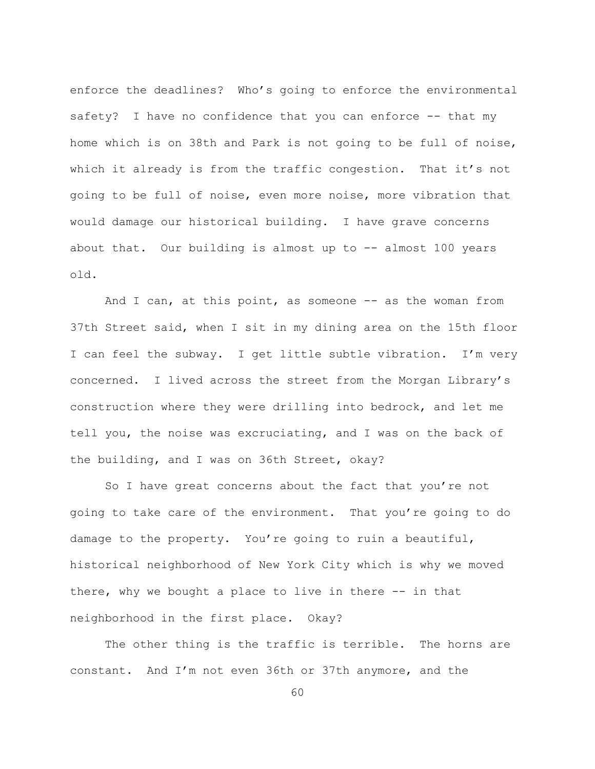enforce the deadlines? Who's going to enforce the environmental safety? I have no confidence that you can enforce -- that my home which is on 38th and Park is not going to be full of noise, which it already is from the traffic congestion. That it's not going to be full of noise, even more noise, more vibration that would damage our historical building. I have grave concerns about that. Our building is almost up to -- almost 100 years  $old.$ 

And I can, at this point, as someone -- as the woman from 37th Street said, when I sit in my dining area on the 15th floor I can feel the subway. I get little subtle vibration. I'm very concerned. I lived across the street from the Morgan Library's construction where they were drilling into bedrock, and let me tell you, the noise was excruciating, and I was on the back of the building, and I was on 36th Street, okay?

So I have great concerns about the fact that you're not going to take care of the environment. That you're going to do damage to the property. You're going to ruin a beautiful, historical neighborhood of New York City which is why we moved there, why we bought a place to live in there -- in that neighborhood in the first place. Okay?

The other thing is the traffic is terrible. The horns are constant. And I'm not even 36th or 37th anymore, and the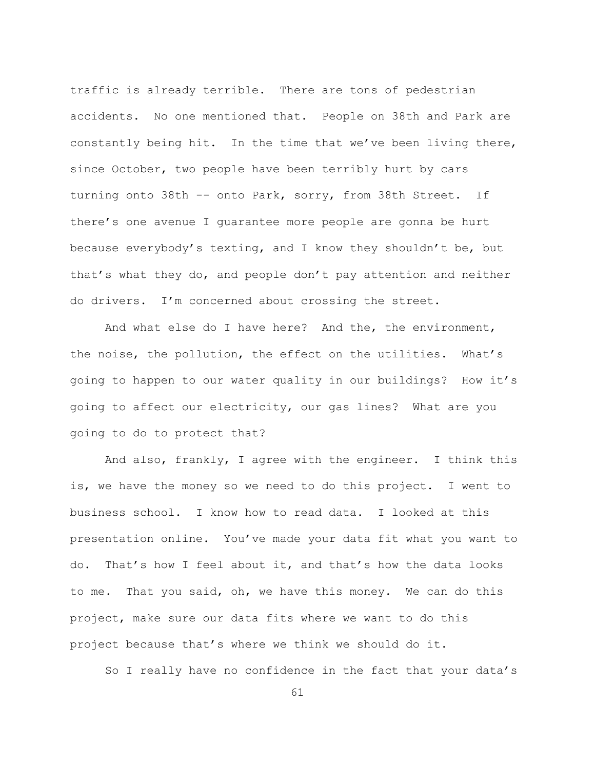traffic is already terrible. There are tons of pedestrian accidents. No one mentioned that. People on 38th and Park are constantly being hit. In the time that we've been living there, since October, two people have been terribly hurt by cars turning onto 38th -- onto Park, sorry, from 38th Street. If there's one avenue I quarantee more people are gonna be hurt because everybody's texting, and I know they shouldn't be, but that's what they do, and people don't pay attention and neither do drivers. I'm concerned about crossing the street.

And what else do I have here? And the, the environment, the noise, the pollution, the effect on the utilities. What's going to happen to our water quality in our buildings? How it's going to affect our electricity, our gas lines? What are you going to do to protect that?

And also, frankly, I agree with the engineer. I think this is, we have the money so we need to do this project. I went to business school. I know how to read data. I looked at this presentation online. You've made your data fit what you want to do. That's how I feel about it, and that's how the data looks to me. That you said, oh, we have this money. We can do this project, make sure our data fits where we want to do this project because that's where we think we should do it.

So I really have no confidence in the fact that your data's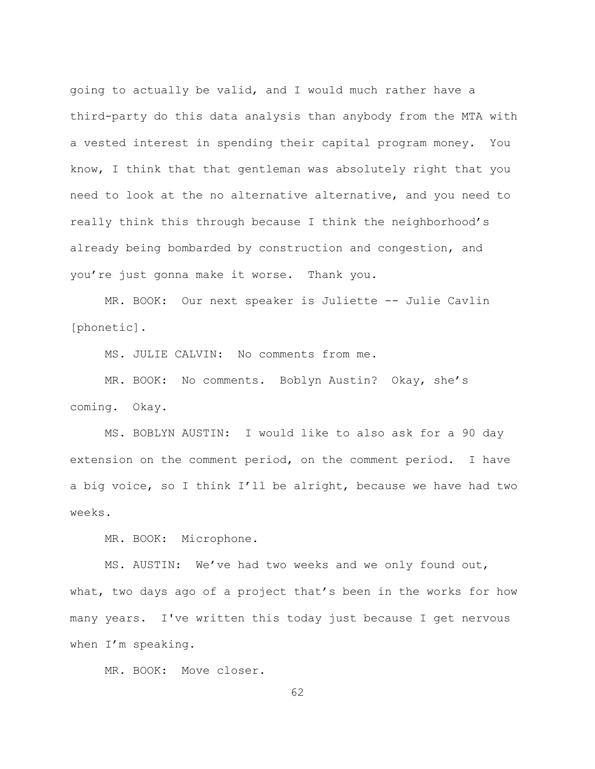going to actually be valid, and I would much rather have a third-party do this data analysis than anybody from the MTA with a vested interest in spending their capital program money. You know, I think that that gentleman was absolutely right that you need to look at the no alternative alternative, and you need to really think this through because I think the neighborhood's already being bombarded by construction and congestion, and you're just gonna make it worse. Thank you.

MR. BOOK: Our next speaker is Juliette -- Julie Cavlin [phonetic].

MS. JULIE CALVIN: No comments from me.

MR. BOOK: No comments. Boblyn Austin? Okay, she's coming. Okay.

MS. BOBLYN AUSTIN: I would like to also ask for a 90 day extension on the comment period, on the comment period. I have a big voice, so I think I'll be alright, because we have had two weeks.

MR. BOOK: Microphone.

 $MS.$  AUSTIN: We've had two weeks and we only found out, what, two days ago of a project that's been in the works for how many years. I've written this today just because I get nervous when  $I'm$  speaking.

MR. BOOK: Move closer.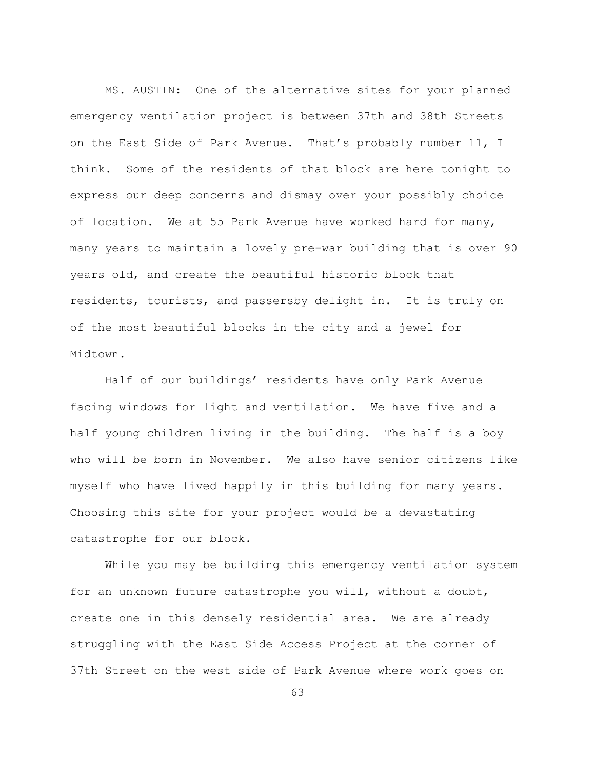MS. AUSTIN: One of the alternative sites for your planned emergency ventilation project is between 37th and 38th Streets on the East Side of Park Avenue. That's probably number 11, I think. Some of the residents of that block are here tonight to express our deep concerns and dismay over your possibly choice of location. We at 55 Park Avenue have worked hard for many, many years to maintain a lovely pre-war building that is over 90 years old, and create the beautiful historic block that residents, tourists, and passersby delight in. It is truly on of the most beautiful blocks in the city and a jewel for Midtown.

Half of our buildings' residents have only Park Avenue facing windows for light and ventilation. We have five and a half young children living in the building. The half is a boy who will be born in November. We also have senior citizens like myself who have lived happily in this building for many years. Choosing this site for your project would be a devastating catastrophe for our block.

While you may be building this emergency ventilation system for an unknown future catastrophe you will, without a doubt, create one in this densely residential area. We are already struggling with the East Side Access Project at the corner of 37th Street on the west side of Park Avenue where work goes on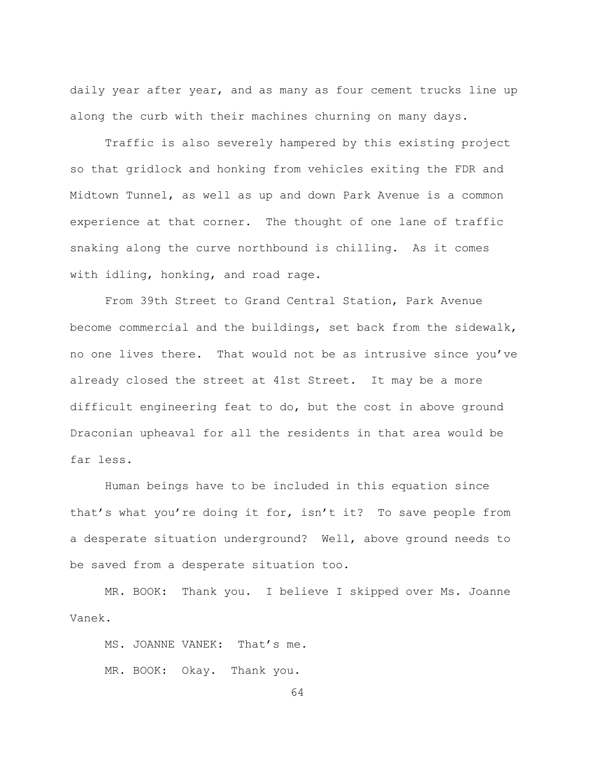daily year after year, and as many as four cement trucks line up along the curb with their machines churning on many days.

Traffic is also severely hampered by this existing project so that gridlock and honking from vehicles exiting the FDR and Midtown Tunnel, as well as up and down Park Avenue is a common experience at that corner. The thought of one lane of traffic snaking along the curve northbound is chilling. As it comes with idling, honking, and road rage.

From 39th Street to Grand Central Station, Park Avenue become commercial and the buildings, set back from the sidewalk, no one lives there. That would not be as intrusive since you've already closed the street at 41st Street. It may be a more difficult engineering feat to do, but the cost in above ground Draconian upheaval for all the residents in that area would be far less.

Human beings have to be included in this equation since that's what you're doing it for, isn't it? To save people from a desperate situation underground? Well, above ground needs to be saved from a desperate situation too.

MR. BOOK: Thank you. I believe I skipped over Ms. Joanne Vanek.

MS. JOANNE VANEK: That's me. MR. BOOK: Okay. Thank you.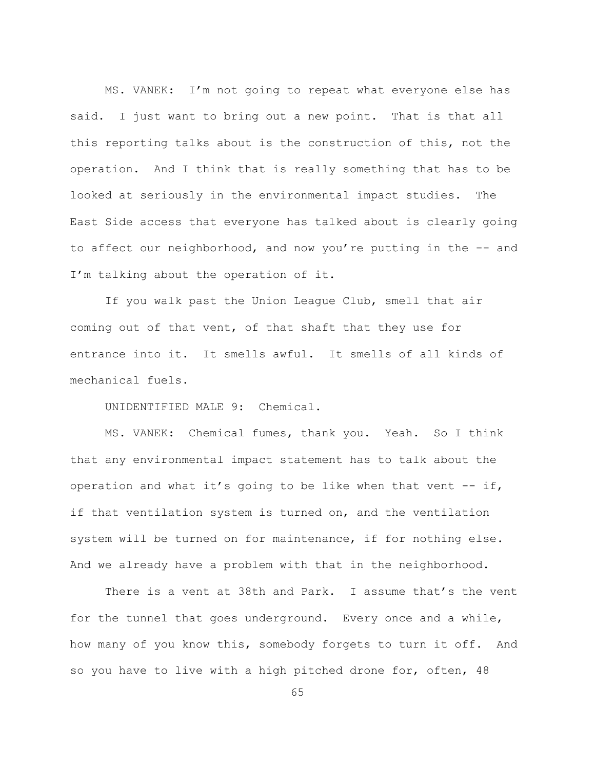MS. VANEK: I'm not going to repeat what everyone else has said. I just want to bring out a new point. That is that all this reporting talks about is the construction of this, not the operation. And I think that is really something that has to be looked at seriously in the environmental impact studies. The East Side access that everyone has talked about is clearly going to affect our neighborhood, and now you're putting in the -- and I'm talking about the operation of it.

If you walk past the Union League Club, smell that air coming out of that vent, of that shaft that they use for entrance into it. It smells awful. It smells of all kinds of mechanical fuels.

UNIDENTIFIED MALE 9: Chemical.

MS. VANEK: Chemical fumes, thank you. Yeah. So I think that any environmental impact statement has to talk about the operation and what it's going to be like when that vent -- if, if that ventilation system is turned on, and the ventilation system will be turned on for maintenance, if for nothing else. And we already have a problem with that in the neighborhood.

There is a vent at 38th and Park. I assume that's the vent for the tunnel that goes underground. Every once and a while, how many of you know this, somebody forgets to turn it off. And so you have to live with a high pitched drone for, often, 48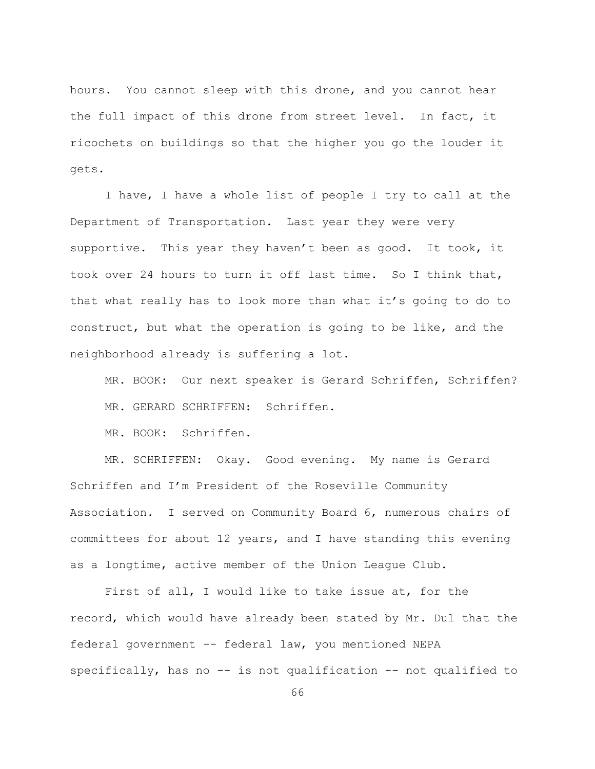hours. You cannot sleep with this drone, and you cannot hear the full impact of this drone from street level. In fact, it ricochets on buildings so that the higher you go the louder it gets.

I have, I have a whole list of people I try to call at the Department of Transportation. Last year they were very supportive. This year they haven't been as good. It took, it took over 24 hours to turn it off last time. So I think that, that what really has to look more than what it's going to do to construct, but what the operation is going to be like, and the neighborhood already is suffering a lot.

MR. BOOK: Our next speaker is Gerard Schriffen, Schriffen? MR. GERARD SCHRIFFEN: Schriffen.

MR. BOOK: Schriffen.

MR. SCHRIFFEN: Okay. Good evening. My name is Gerard Schriffen and I'm President of the Roseville Community Association. I served on Community Board 6, numerous chairs of committees for about 12 years, and I have standing this evening as a longtime, active member of the Union League Club.

First of all, I would like to take issue at, for the record, which would have already been stated by Mr. Dul that the federal government -- federal law, you mentioned NEPA specifically, has no  $-$  is not qualification  $-$  not qualified to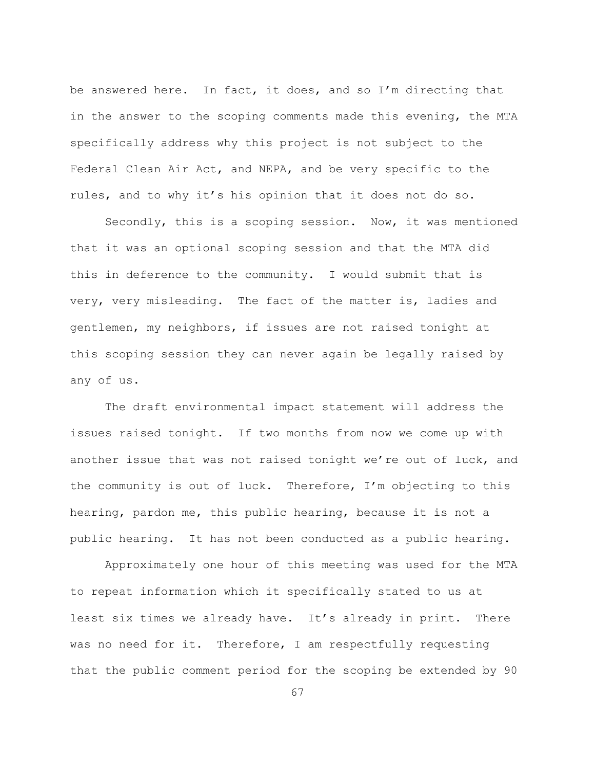be answered here. In fact, it does, and so I'm directing that in the answer to the scoping comments made this evening, the MTA specifically address why this project is not subject to the Federal Clean Air Act, and NEPA, and be very specific to the rules, and to why it's his opinion that it does not do so.

Secondly, this is a scoping session. Now, it was mentioned that it was an optional scoping session and that the MTA did this in deference to the community. I would submit that is very, very misleading. The fact of the matter is, ladies and gentlemen, my neighbors, if issues are not raised tonight at this scoping session they can never again be legally raised by any of us.

The draft environmental impact statement will address the issues raised tonight. If two months from now we come up with another issue that was not raised tonight we're out of luck, and the community is out of luck. Therefore, I'm objecting to this hearing, pardon me, this public hearing, because it is not a public hearing. It has not been conducted as a public hearing.

Approximately one hour of this meeting was used for the MTA to repeat information which it specifically stated to us at least six times we already have. It's already in print. There was no need for it. Therefore, I am respectfully requesting that the public comment period for the scoping be extended by 90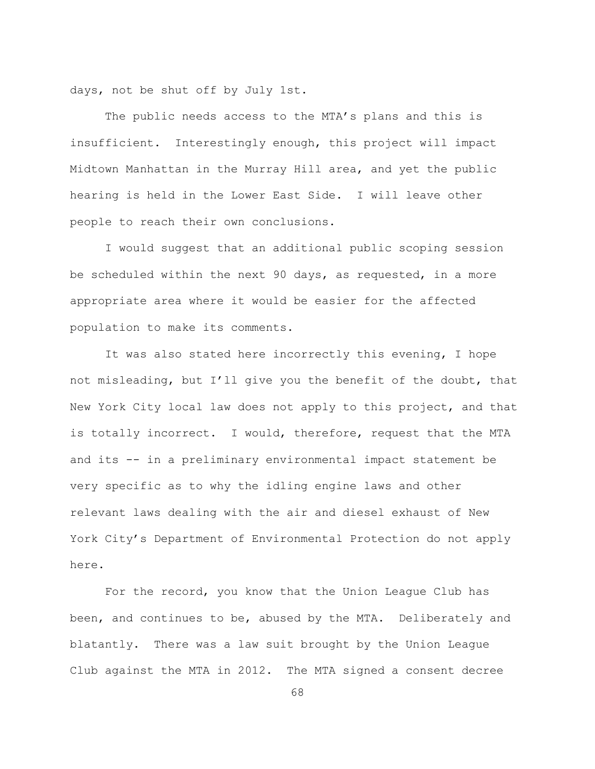days, not be shut off by July 1st.

The public needs access to the MTA's plans and this is insufficient. Interestingly enough, this project will impact Midtown Manhattan in the Murray Hill area, and yet the public hearing is held in the Lower East Side. I will leave other people to reach their own conclusions.

I would suggest that an additional public scoping session be scheduled within the next 90 days, as requested, in a more appropriate area where it would be easier for the affected population to make its comments.

It was also stated here incorrectly this evening, I hope not misleading, but I'll give you the benefit of the doubt, that New York City local law does not apply to this project, and that is totally incorrect. I would, therefore, request that the MTA and its -- in a preliminary environmental impact statement be very specific as to why the idling engine laws and other relevant laws dealing with the air and diesel exhaust of New York City's Department of Environmental Protection do not apply here.

For the record, you know that the Union League Club has been, and continues to be, abused by the MTA. Deliberately and blatantly. There was a law suit brought by the Union League Club against the MTA in 2012. The MTA signed a consent decree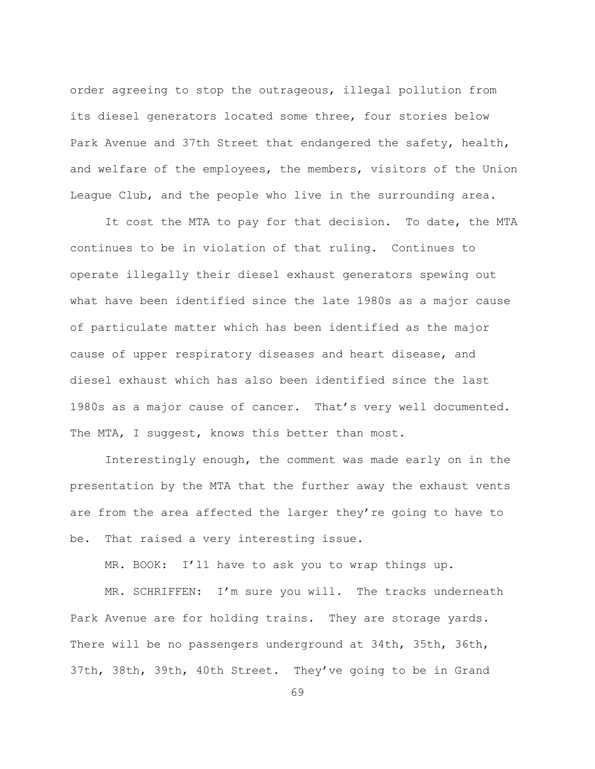order agreeing to stop the outrageous, illegal pollution from its diesel generators located some three, four stories below Park Avenue and 37th Street that endangered the safety, health, and welfare of the employees, the members, visitors of the Union League Club, and the people who live in the surrounding area.

It cost the MTA to pay for that decision. To date, the MTA continues to be in violation of that ruling. Continues to operate illegally their diesel exhaust generators spewing out what have been identified since the late 1980s as a major cause of particulate matter which has been identified as the major cause of upper respiratory diseases and heart disease, and diesel exhaust which has also been identified since the last 1980s as a major cause of cancer. That's very well documented. The MTA, I suggest, knows this better than most.

Interestingly enough, the comment was made early on in the presentation by the MTA that the further away the exhaust vents are from the area affected the larger they're going to have to be. That raised a very interesting issue.

MR. BOOK: I'll have to ask you to wrap things up.

MR. SCHRIFFEN: I'm sure you will. The tracks underneath Park Avenue are for holding trains. They are storage yards. There will be no passengers underground at 34th, 35th, 36th, 37th, 38th, 39th, 40th Street. They've going to be in Grand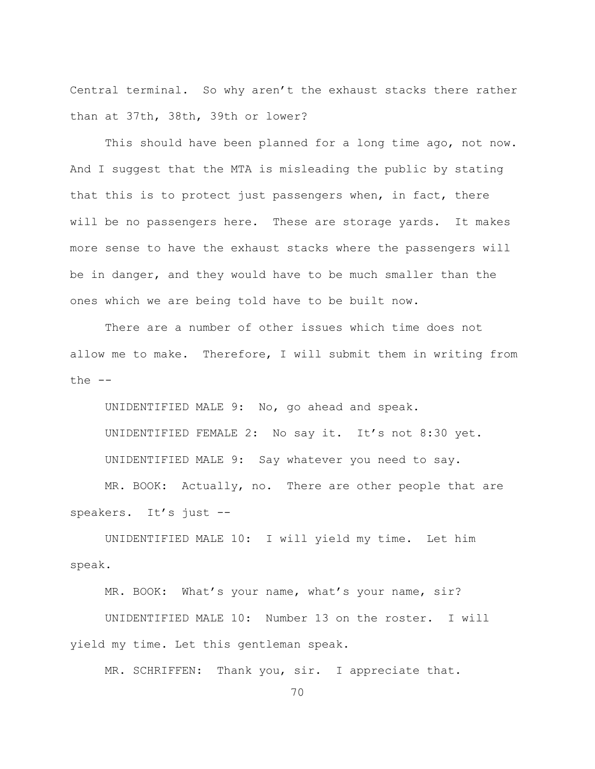Central terminal. So why aren't the exhaust stacks there rather than at 37th, 38th, 39th or lower?

This should have been planned for a long time ago, not now. And I suggest that the MTA is misleading the public by stating that this is to protect just passengers when, in fact, there will be no passengers here. These are storage yards. It makes more sense to have the exhaust stacks where the passengers will be in danger, and they would have to be much smaller than the ones which we are being told have to be built now.

There are a number of other issues which time does not allow me to make. Therefore, I will submit them in writing from the  $--$ 

UNIDENTIFIED MALE 9: No, go ahead and speak. UNIDENTIFIED FEMALE 2: No say it. It's not 8:30 yet. UNIDENTIFIED MALE 9: Say whatever you need to say.

MR. BOOK: Actually, no. There are other people that are speakers. It's just --

UNIDENTIFIED MALE 10: I will yield my time. Let him speak.

MR. BOOK: What's your name, what's your name, sir?

UNIDENTIFIED MALE 10: Number 13 on the roster. I will yield my time. Let this gentleman speak.

MR. SCHRIFFEN: Thank you, sir. I appreciate that.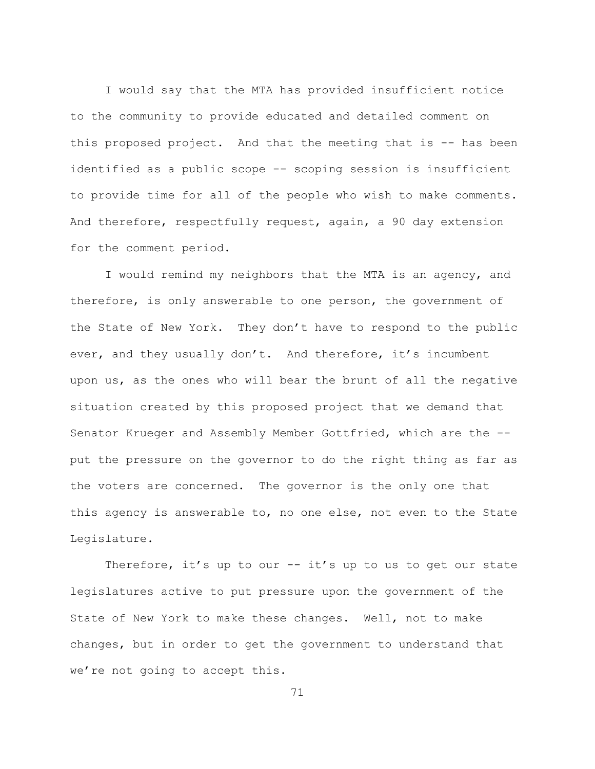I would say that the MTA has provided insufficient notice to the community to provide educated and detailed comment on this proposed project. And that the meeting that is -- has been identified as a public scope -- scoping session is insufficient to provide time for all of the people who wish to make comments. And therefore, respectfully request, again, a 90 day extension for the comment period.

I would remind my neighbors that the MTA is an agency, and therefore, is only answerable to one person, the government of the State of New York. They don't have to respond to the public ever, and they usually don't. And therefore, it's incumbent upon us, as the ones who will bear the brunt of all the negative situation created by this proposed project that we demand that Senator Krueger and Assembly Member Gottfried, which are the -put the pressure on the governor to do the right thing as far as the voters are concerned. The governor is the only one that this agency is answerable to, no one else, not even to the State Legislature.

Therefore, it's up to our  $--$  it's up to us to get our state legislatures active to put pressure upon the government of the State of New York to make these changes. Well, not to make changes, but in order to get the government to understand that we're not going to accept this.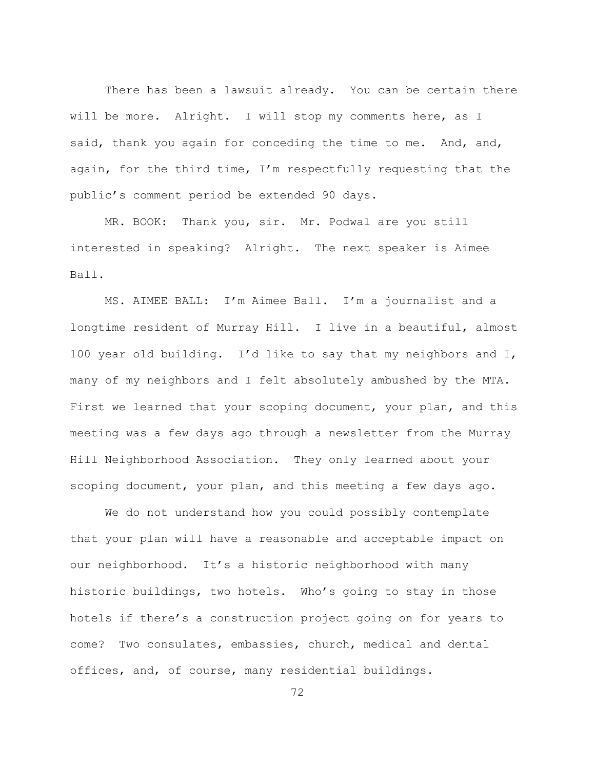There has been a lawsuit already. You can be certain there will be more. Alright. I will stop my comments here, as I said, thank you again for conceding the time to me. And, and, again, for the third time,  $I'm$  respectfully requesting that the public's comment period be extended 90 days.

MR. BOOK: Thank you, sir. Mr. Podwal are you still interested in speaking? Alright. The next speaker is Aimee Ball.

MS. AIMEE BALL: I'm Aimee Ball. I'm a journalist and a longtime resident of Murray Hill. I live in a beautiful, almost 100 year old building. I'd like to say that my neighbors and  $I$ , many of my neighbors and I felt absolutely ambushed by the MTA. First we learned that your scoping document, your plan, and this meeting was a few days ago through a newsletter from the Murray Hill Neighborhood Association. They only learned about your scoping document, your plan, and this meeting a few days ago.

We do not understand how you could possibly contemplate that your plan will have a reasonable and acceptable impact on our neighborhood. It's a historic neighborhood with many historic buildings, two hotels. Who's going to stay in those hotels if there's a construction project going on for years to come? Two consulates, embassies, church, medical and dental offices, and, of course, many residential buildings.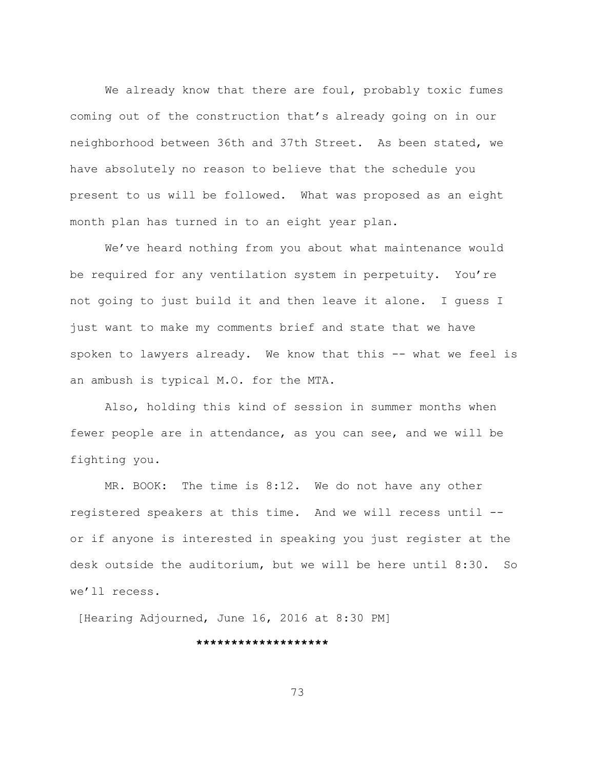We already know that there are foul, probably toxic fumes coming out of the construction that's already going on in our neighborhood between 36th and 37th Street. As been stated, we have absolutely no reason to believe that the schedule you present to us will be followed. What was proposed as an eight month plan has turned in to an eight year plan.

We've heard nothing from you about what maintenance would be required for any ventilation system in perpetuity. You're not going to just build it and then leave it alone. I guess I just want to make my comments brief and state that we have spoken to lawyers already. We know that this -- what we feel is an ambush is typical M.O. for the MTA.

Also, holding this kind of session in summer months when fewer people are in attendance, as you can see, and we will be fighting you.

MR. BOOK: The time is 8:12. We do not have any other registered speakers at this time. And we will recess until -or if anyone is interested in speaking you just register at the desk outside the auditorium, but we will be here until  $8:30.$  So we'll recess.

[Hearing Adjourned, June 16, 2016 at 8:30 PM]

**\*\*\*\*\*\*\*\*\*\*\*\*\*\*\*\*\*\*\***

73